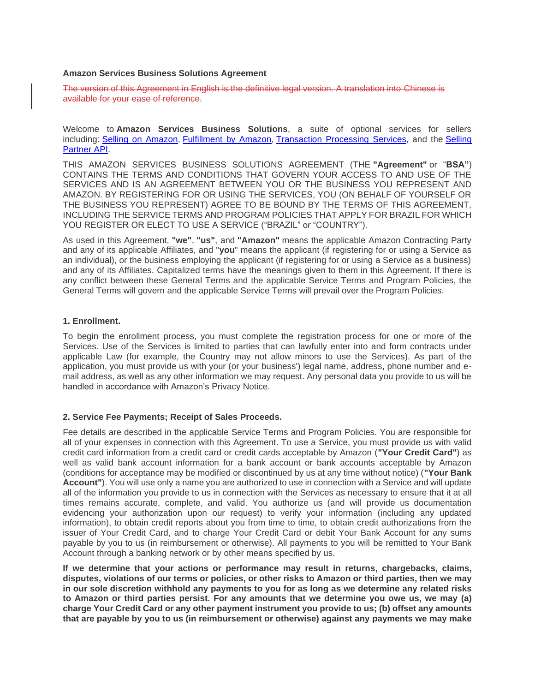#### **Amazon Services Business Solutions Agreement**

The version of this Agreement in English is the definitive legal version. A translation into Chinese is available for your ease of reference.

Welcome to **Amazon Services Business Solutions**, a suite of optional services for sellers including: Selling on [Amazon,](https://sellercentral.amazon.com/gp/help/help.html?itemID=1791&ref=id_1791_cont_521&ref_=xx_swlang_head_help&mons_sel_locale=en_US&languageSwitched=1#SellingonAmazonService) [Fulfillment](https://sellercentral.amazon.com.br/gp/help/external/help.html?itemID=1791&ref_=ag_1791_a_r1_cont_sgsearch#FBA) by Amazon, [Transaction](https://sellercentral.amazon.com/gp/help/help.html?itemID=1791&ref=id_1791_cont_521&ref_=xx_swlang_head_help&mons_sel_locale=en_US&languageSwitched=1#TranscationProcessingeService) Processing Services, and the [Selling](https://sellercentral.amazon.com/gp/help/help.html?itemID=1791&ref=id_1791_cont_521&ref_=xx_swlang_head_help&mons_sel_locale=en_US&languageSwitched=1#SellingPartnerAPITerms) [Partner](https://sellercentral.amazon.com/gp/help/help.html?itemID=1791&ref=id_1791_cont_521&ref_=xx_swlang_head_help&mons_sel_locale=en_US&languageSwitched=1#SellingPartnerAPITerms) API.

THIS AMAZON SERVICES BUSINESS SOLUTIONS AGREEMENT (THE **"Agreement"** or "**BSA"**) CONTAINS THE TERMS AND CONDITIONS THAT GOVERN YOUR ACCESS TO AND USE OF THE SERVICES AND IS AN AGREEMENT BETWEEN YOU OR THE BUSINESS YOU REPRESENT AND AMAZON. BY REGISTERING FOR OR USING THE SERVICES, YOU (ON BEHALF OF YOURSELF OR THE BUSINESS YOU REPRESENT) AGREE TO BE BOUND BY THE TERMS OF THIS AGREEMENT, INCLUDING THE SERVICE TERMS AND PROGRAM POLICIES THAT APPLY FOR BRAZIL FOR WHICH YOU REGISTER OR ELECT TO USE A SERVICE ("BRAZIL" or "COUNTRY").

As used in this Agreement, **"we"**, **"us"**, and **"Amazon"** means the applicable Amazon Contracting Party and any of its applicable Affiliates, and "**you**" means the applicant (if registering for or using a Service as an individual), or the business employing the applicant (if registering for or using a Service as a business) and any of its Affiliates. Capitalized terms have the meanings given to them in this Agreement. If there is any conflict between these General Terms and the applicable Service Terms and Program Policies, the General Terms will govern and the applicable Service Terms will prevail over the Program Policies.

#### **1. Enrollment.**

To begin the enrollment process, you must complete the registration process for one or more of the Services. Use of the Services is limited to parties that can lawfully enter into and form contracts under applicable Law (for example, the Country may not allow minors to use the Services). As part of the application, you must provide us with your (or your business') legal name, address, phone number and email address, as well as any other information we may request. Any personal data you provide to us will be handled in accordance with Amazon's Privacy Notice.

#### **2. Service Fee Payments; Receipt of Sales Proceeds.**

Fee details are described in the applicable Service Terms and Program Policies. You are responsible for all of your expenses in connection with this Agreement. To use a Service, you must provide us with valid credit card information from a credit card or credit cards acceptable by Amazon (**"Your Credit Card"**) as well as valid bank account information for a bank account or bank accounts acceptable by Amazon (conditions for acceptance may be modified or discontinued by us at any time without notice) (**"Your Bank Account"**). You will use only a name you are authorized to use in connection with a Service and will update all of the information you provide to us in connection with the Services as necessary to ensure that it at all times remains accurate, complete, and valid. You authorize us (and will provide us documentation evidencing your authorization upon our request) to verify your information (including any updated information), to obtain credit reports about you from time to time, to obtain credit authorizations from the issuer of Your Credit Card, and to charge Your Credit Card or debit Your Bank Account for any sums payable by you to us (in reimbursement or otherwise). All payments to you will be remitted to Your Bank Account through a banking network or by other means specified by us.

**If we determine that your actions or performance may result in returns, chargebacks, claims,** disputes, violations of our terms or policies, or other risks to Amazon or third parties, then we may **in our sole discretion withhold any payments to you for as long as we determine any related risks to Amazon or third parties persist. For any amounts that we determine you owe us, we may (a) charge Your Credit Card or any other payment instrument you provide to us; (b) offset any amounts that are payable by you to us (in reimbursement or otherwise) against any payments we may make**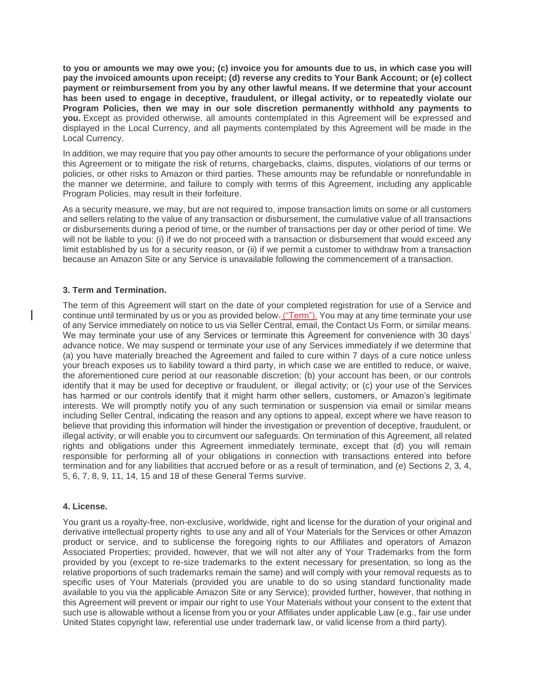to you or amounts we may owe you; (c) invoice you for amounts due to us, in which case you will **pay the invoiced amounts upon receipt; (d) reverse any credits to Your Bank Account; or (e) collect payment or reimbursement from you by any other lawful means. If we determine that your account has been used to engage in deceptive, fraudulent, or illegal activity, or to repeatedly violate our Program Policies, then we may in our sole discretion permanently withhold any payments to you.** Except as provided otherwise, all amounts contemplated in this Agreement will be expressed and displayed in the Local Currency, and all payments contemplated by this Agreement will be made in the Local Currency.

In addition, we may require that you pay other amounts to secure the performance of your obligations under this Agreement or to mitigate the risk of returns, chargebacks, claims, disputes, violations of our terms or policies, or other risks to Amazon or third parties. These amounts may be refundable or nonrefundable in the manner we determine, and failure to comply with terms of this Agreement, including any applicable Program Policies, may result in their forfeiture.

As a security measure, we may, but are not required to, impose transaction limits on some or all customers and sellers relating to the value of any transaction or disbursement, the cumulative value of all transactions or disbursements during a period of time, or the number of transactions per day or other period of time. We will not be liable to you: (i) if we do not proceed with a transaction or disbursement that would exceed any limit established by us for a security reason, or (ii) if we permit a customer to withdraw from a transaction because an Amazon Site or any Service is unavailable following the commencement of a transaction.

# **3. Term and Termination.**

The term of this Agreement will start on the date of your completed registration for use of a Service and continue until terminated by us or you as provided below- ("Term"). You may at any time terminate your use of any Service immediately on notice to us via Seller Central, email, the Contact Us Form, or similar means. We may terminate your use of any Services or terminate this Agreement for convenience with 30 days' advance notice. We may suspend or terminate your use of any Services immediately if we determine that (a) you have materially breached the Agreement and failed to cure within 7 days of a cure notice unless your breach exposes us to liability toward a third party, in which case we are entitled to reduce, or waive, the aforementioned cure period at our reasonable discretion; (b) your account has been, or our controls identify that it may be used for deceptive or fraudulent, or illegal activity; or (c) your use of the Services has harmed or our controls identify that it might harm other sellers, customers, or Amazon's legitimate interests. We will promptly notify you of any such termination or suspension via email or similar means including Seller Central, indicating the reason and any options to appeal, except where we have reason to believe that providing this information will hinder the investigation or prevention of deceptive, fraudulent, or illegal activity, or will enable you to circumvent our safeguards. On termination of this Agreement, all related rights and obligations under this Agreement immediately terminate, except that (d) you will remain responsible for performing all of your obligations in connection with transactions entered into before termination and for any liabilities that accrued before or as a result of termination, and (e) Sections 2, 3, 4, 5, 6, 7, 8, 9, 11, 14, 15 and 18 of these General Terms survive.

### **4. License.**

You grant us a royalty-free, non-exclusive, worldwide, right and license for the duration of your original and derivative intellectual property rights to use any and all of Your Materials for the Services or other Amazon product or service, and to sublicense the foregoing rights to our Affiliates and operators of Amazon Associated Properties; provided, however, that we will not alter any of Your Trademarks from the form provided by you (except to re-size trademarks to the extent necessary for presentation, so long as the relative proportions of such trademarks remain the same) and will comply with your removal requests as to specific uses of Your Materials (provided you are unable to do so using standard functionality made available to you via the applicable Amazon Site or any Service); provided further, however, that nothing in this Agreement will prevent or impair our right to use Your Materials without your consent to the extent that such use is allowable without a license from you or your Affiliates under applicable Law (e.g., fair use under United States copyright law, referential use under trademark law, or valid license from a third party).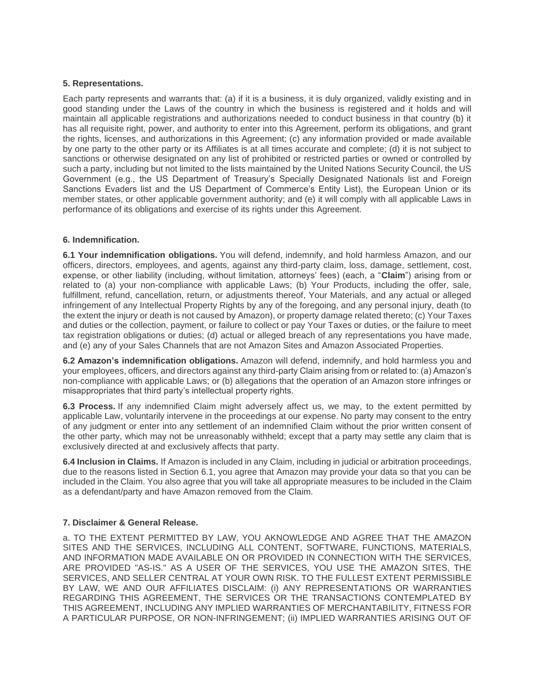### **5. Representations.**

Each party represents and warrants that: (a) if it is a business, it is duly organized, validly existing and in good standing under the Laws of the country in which the business is registered and it holds and will maintain all applicable registrations and authorizations needed to conduct business in that country (b) it has all requisite right, power, and authority to enter into this Agreement, perform its obligations, and grant the rights, licenses, and authorizations in this Agreement; (c) any information provided or made available by one party to the other party or its Affiliates is at all times accurate and complete; (d) it is not subject to sanctions or otherwise designated on any list of prohibited or restricted parties or owned or controlled by such a party, including but not limited to the lists maintained by the United Nations Security Council, the US Government (e.g., the US Department of Treasury's Specially Designated Nationals list and Foreign Sanctions Evaders list and the US Department of Commerce's Entity List), the European Union or its member states, or other applicable government authority; and (e) it will comply with all applicable Laws in performance of its obligations and exercise of its rights under this Agreement.

### **6. Indemnification.**

**6.1 Your indemnification obligations.** You will defend, indemnify, and hold harmless Amazon, and our officers, directors, employees, and agents, against any third-party claim, loss, damage, settlement, cost, expense, or other liability (including, without limitation, attorneys' fees) (each, a "**Claim**") arising from or related to (a) your non-compliance with applicable Laws; (b) Your Products, including the offer, sale, fulfillment, refund, cancellation, return, or adjustments thereof, Your Materials, and any actual or alleged infringement of any Intellectual Property Rights by any of the foregoing, and any personal injury, death (to the extent the injury or death is not caused by Amazon), or property damage related thereto; (c) Your Taxes and duties or the collection, payment, or failure to collect or pay Your Taxes or duties, or the failure to meet tax registration obligations or duties; (d) actual or alleged breach of any representations you have made, and (e) any of your Sales Channels that are not Amazon Sites and Amazon Associated Properties.

**6.2 Amazon's indemnification obligations.** Amazon will defend, indemnify, and hold harmless you and your employees, officers, and directors against any third-party Claim arising from or related to: (a) Amazon's non-compliance with applicable Laws; or (b) allegations that the operation of an Amazon store infringes or misappropriates that third party's intellectual property rights.

**6.3 Process.** If any indemnified Claim might adversely affect us, we may, to the extent permitted by applicable Law, voluntarily intervene in the proceedings at our expense. No party may consent to the entry of any judgment or enter into any settlement of an indemnified Claim without the prior written consent of the other party, which may not be unreasonably withheld; except that a party may settle any claim that is exclusively directed at and exclusively affects that party.

**6.4 Inclusion in Claims.** If Amazon is included in any Claim, including in judicial or arbitration proceedings, due to the reasons listed in Section 6.1, you agree that Amazon may provide your data so that you can be included in the Claim. You also agree that you will take all appropriate measures to be included in the Claim as a defendant/party and have Amazon removed from the Claim.

### **7. Disclaimer & General Release.**

a. TO THE EXTENT PERMITTED BY LAW, YOU AKNOWLEDGE AND AGREE THAT THE AMAZON SITES AND THE SERVICES, INCLUDING ALL CONTENT, SOFTWARE, FUNCTIONS, MATERIALS, AND INFORMATION MADE AVAILABLE ON OR PROVIDED IN CONNECTION WITH THE SERVICES, ARE PROVIDED "AS-IS." AS A USER OF THE SERVICES, YOU USE THE AMAZON SITES, THE SERVICES, AND SELLER CENTRAL AT YOUR OWN RISK. TO THE FULLEST EXTENT PERMISSIBLE BY LAW, WE AND OUR AFFILIATES DISCLAIM: (i) ANY REPRESENTATIONS OR WARRANTIES REGARDING THIS AGREEMENT, THE SERVICES OR THE TRANSACTIONS CONTEMPLATED BY THIS AGREEMENT, INCLUDING ANY IMPLIED WARRANTIES OF MERCHANTABILITY, FITNESS FOR A PARTICULAR PURPOSE, OR NON-INFRINGEMENT; (ii) IMPLIED WARRANTIES ARISING OUT OF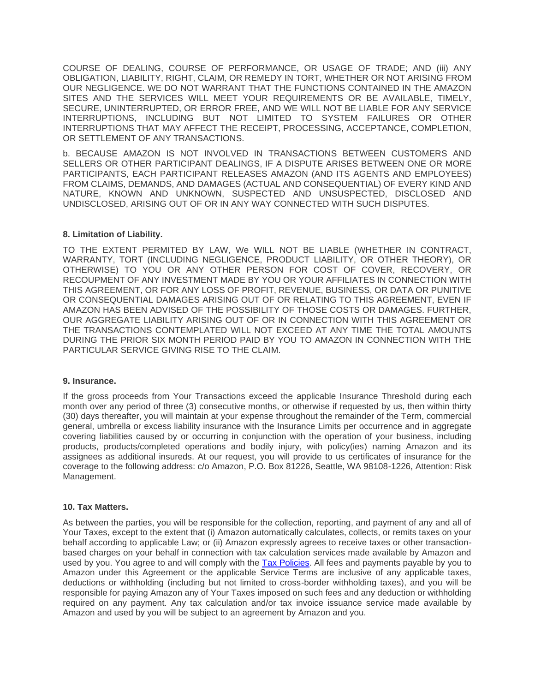COURSE OF DEALING, COURSE OF PERFORMANCE, OR USAGE OF TRADE; AND (iii) ANY OBLIGATION, LIABILITY, RIGHT, CLAIM, OR REMEDY IN TORT, WHETHER OR NOT ARISING FROM OUR NEGLIGENCE. WE DO NOT WARRANT THAT THE FUNCTIONS CONTAINED IN THE AMAZON SITES AND THE SERVICES WILL MEET YOUR REQUIREMENTS OR BE AVAILABLE, TIMELY, SECURE, UNINTERRUPTED, OR ERROR FREE, AND WE WILL NOT BE LIABLE FOR ANY SERVICE INTERRUPTIONS, INCLUDING BUT NOT LIMITED TO SYSTEM FAILURES OR OTHER INTERRUPTIONS THAT MAY AFFECT THE RECEIPT, PROCESSING, ACCEPTANCE, COMPLETION, OR SETTLEMENT OF ANY TRANSACTIONS.

b. BECAUSE AMAZON IS NOT INVOLVED IN TRANSACTIONS BETWEEN CUSTOMERS AND SELLERS OR OTHER PARTICIPANT DEALINGS, IF A DISPUTE ARISES BETWEEN ONE OR MORE PARTICIPANTS, EACH PARTICIPANT RELEASES AMAZON (AND ITS AGENTS AND EMPLOYEES) FROM CLAIMS, DEMANDS, AND DAMAGES (ACTUAL AND CONSEQUENTIAL) OF EVERY KIND AND NATURE, KNOWN AND UNKNOWN, SUSPECTED AND UNSUSPECTED, DISCLOSED AND UNDISCLOSED, ARISING OUT OF OR IN ANY WAY CONNECTED WITH SUCH DISPUTES.

### **8. Limitation of Liability.**

TO THE EXTENT PERMITED BY LAW, We WILL NOT BE LIABLE (WHETHER IN CONTRACT, WARRANTY, TORT (INCLUDING NEGLIGENCE, PRODUCT LIABILITY, OR OTHER THEORY), OR OTHERWISE) TO YOU OR ANY OTHER PERSON FOR COST OF COVER, RECOVERY, OR RECOUPMENT OF ANY INVESTMENT MADE BY YOU OR YOUR AFFILIATES IN CONNECTION WITH THIS AGREEMENT, OR FOR ANY LOSS OF PROFIT, REVENUE, BUSINESS, OR DATA OR PUNITIVE OR CONSEQUENTIAL DAMAGES ARISING OUT OF OR RELATING TO THIS AGREEMENT, EVEN IF AMAZON HAS BEEN ADVISED OF THE POSSIBILITY OF THOSE COSTS OR DAMAGES. FURTHER, OUR AGGREGATE LIABILITY ARISING OUT OF OR IN CONNECTION WITH THIS AGREEMENT OR THE TRANSACTIONS CONTEMPLATED WILL NOT EXCEED AT ANY TIME THE TOTAL AMOUNTS DURING THE PRIOR SIX MONTH PERIOD PAID BY YOU TO AMAZON IN CONNECTION WITH THE PARTICULAR SERVICE GIVING RISE TO THE CLAIM.

### **9. Insurance.**

If the gross proceeds from Your Transactions exceed the applicable Insurance Threshold during each month over any period of three (3) consecutive months, or otherwise if requested by us, then within thirty (30) days thereafter, you will maintain at your expense throughout the remainder of the Term, commercial general, umbrella or excess liability insurance with the Insurance Limits per occurrence and in aggregate covering liabilities caused by or occurring in conjunction with the operation of your business, including products, products/completed operations and bodily injury, with policy(ies) naming Amazon and its assignees as additional insureds. At our request, you will provide to us certificates of insurance for the coverage to the following address: c/o Amazon, P.O. Box 81226, Seattle, WA 98108-1226, Attention: Risk Management.

# **10. Tax Matters.**

As between the parties, you will be responsible for the collection, reporting, and payment of any and all of Your Taxes, except to the extent that (i) Amazon automatically calculates, collects, or remits taxes on your behalf according to applicable Law; or (ii) Amazon expressly agrees to receive taxes or other transactionbased charges on your behalf in connection with tax calculation services made available by Amazon and used by you. You agree to and will comply with the **Tax Policies**. All fees and payments payable by you to Amazon under this Agreement or the applicable Service Terms are inclusive of any applicable taxes, deductions or withholding (including but not limited to cross-border withholding taxes), and you will be responsible for paying Amazon any of Your Taxes imposed on such fees and any deduction or withholding required on any payment. Any tax calculation and/or tax invoice issuance service made available by Amazon and used by you will be subject to an agreement by Amazon and you.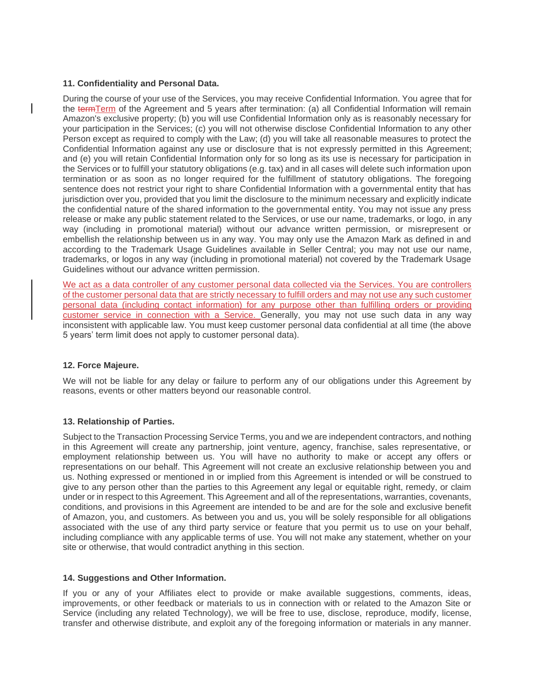### **11. Confidentiality and Personal Data.**

During the course of your use of the Services, you may receive Confidential Information. You agree that for the termTerm of the Agreement and 5 years after termination: (a) all Confidential Information will remain Amazon's exclusive property; (b) you will use Confidential Information only as is reasonably necessary for your participation in the Services; (c) you will not otherwise disclose Confidential Information to any other Person except as required to comply with the Law; (d) you will take all reasonable measures to protect the Confidential Information against any use or disclosure that is not expressly permitted in this Agreement; and (e) you will retain Confidential Information only for so long as its use is necessary for participation in the Services or to fulfill your statutory obligations (e.g. tax) and in all cases will delete such information upon termination or as soon as no longer required for the fulfillment of statutory obligations. The foregoing sentence does not restrict your right to share Confidential Information with a governmental entity that has jurisdiction over you, provided that you limit the disclosure to the minimum necessary and explicitly indicate the confidential nature of the shared information to the governmental entity. You may not issue any press release or make any public statement related to the Services, or use our name, trademarks, or logo, in any way (including in promotional material) without our advance written permission, or misrepresent or embellish the relationship between us in any way. You may only use the Amazon Mark as defined in and according to the Trademark Usage Guidelines available in Seller Central; you may not use our name, trademarks, or logos in any way (including in promotional material) not covered by the Trademark Usage Guidelines without our advance written permission.

We act as a data controller of any customer personal data collected via the Services. You are controllers of the customer personal data that are strictly necessary to fulfill orders and may not use any such customer personal data (including contact information) for any purpose other than fulfilling orders or providing customer service in connection with a Service. Generally, you may not use such data in any way inconsistent with applicable law. You must keep customer personal data confidential at all time (the above 5 years' term limit does not apply to customer personal data).

### **12. Force Majeure.**

We will not be liable for any delay or failure to perform any of our obligations under this Agreement by reasons, events or other matters beyond our reasonable control.

### **13. Relationship of Parties.**

Subject to the Transaction Processing Service Terms, you and we are independent contractors, and nothing in this Agreement will create any partnership, joint venture, agency, franchise, sales representative, or employment relationship between us. You will have no authority to make or accept any offers or representations on our behalf. This Agreement will not create an exclusive relationship between you and us. Nothing expressed or mentioned in or implied from this Agreement is intended or will be construed to give to any person other than the parties to this Agreement any legal or equitable right, remedy, or claim under or in respect to this Agreement. This Agreement and all of the representations, warranties, covenants, conditions, and provisions in this Agreement are intended to be and are for the sole and exclusive benefit of Amazon, you, and customers. As between you and us, you will be solely responsible for all obligations associated with the use of any third party service or feature that you permit us to use on your behalf, including compliance with any applicable terms of use. You will not make any statement, whether on your site or otherwise, that would contradict anything in this section.

#### **14. Suggestions and Other Information.**

If you or any of your Affiliates elect to provide or make available suggestions, comments, ideas, improvements, or other feedback or materials to us in connection with or related to the Amazon Site or Service (including any related Technology), we will be free to use, disclose, reproduce, modify, license, transfer and otherwise distribute, and exploit any of the foregoing information or materials in any manner.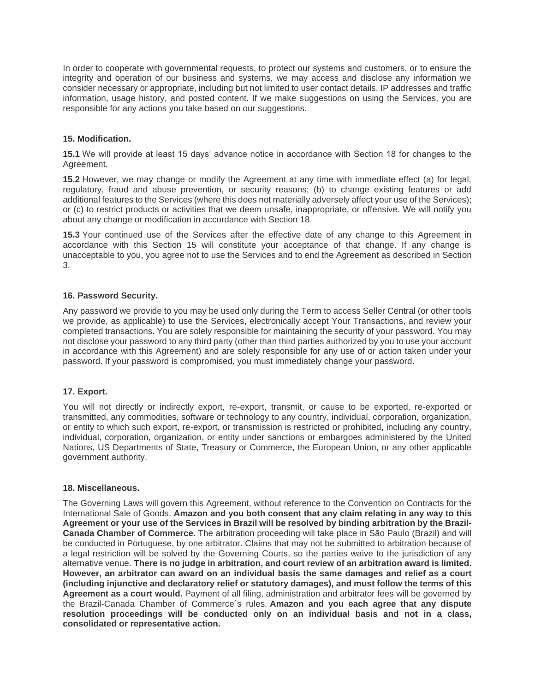In order to cooperate with governmental requests, to protect our systems and customers, or to ensure the integrity and operation of our business and systems, we may access and disclose any information we consider necessary or appropriate, including but not limited to user contact details, IP addresses and traffic information, usage history, and posted content. If we make suggestions on using the Services, you are responsible for any actions you take based on our suggestions.

## **15. Modification.**

**15.1** We will provide at least 15 days' advance notice in accordance with Section 18 for changes to the Agreement.

**15.2** However, we may change or modify the Agreement at any time with immediate effect (a) for legal, regulatory, fraud and abuse prevention, or security reasons; (b) to change existing features or add additional features to the Services (where this does not materially adversely affect your use of the Services); or (c) to restrict products or activities that we deem unsafe, inappropriate, or offensive. We will notify you about any change or modification in accordance with Section 18.

**15.3** Your continued use of the Services after the effective date of any change to this Agreement in accordance with this Section 15 will constitute your acceptance of that change. If any change is unacceptable to you, you agree not to use the Services and to end the Agreement as described in Section 3.

### **16. Password Security.**

Any password we provide to you may be used only during the Term to access Seller Central (or other tools we provide, as applicable) to use the Services, electronically accept Your Transactions, and review your completed transactions. You are solely responsible for maintaining the security of your password. You may not disclose your password to any third party (other than third parties authorized by you to use your account in accordance with this Agreement) and are solely responsible for any use of or action taken under your password. If your password is compromised, you must immediately change your password.

### **17. Export.**

You will not directly or indirectly export, re-export, transmit, or cause to be exported, re-exported or transmitted, any commodities, software or technology to any country, individual, corporation, organization, or entity to which such export, re-export, or transmission is restricted or prohibited, including any country, individual, corporation, organization, or entity under sanctions or embargoes administered by the United Nations, US Departments of State, Treasury or Commerce, the European Union, or any other applicable government authority.

### **18. Miscellaneous.**

The Governing Laws will govern this Agreement, without reference to the Convention on Contracts for the International Sale of Goods. **Amazon and you both consent that any claim relating in any way to this** Agreement or your use of the Services in Brazil will be resolved by binding arbitration by the Brazil-**Canada Chamber of Commerce.** The arbitration proceeding will take place in São Paulo (Brazil) and will be conducted in Portuguese, by one arbitrator. Claims that may not be submitted to arbitration because of a legal restriction will be solved by the Governing Courts, so the parties waive to the jurisdiction of any alternative venue. **There is no judge in arbitration, and court review of an arbitration award is limited. However, an arbitrator can award on an individual basis the same damages and relief as a court (including injunctive and declaratory relief or statutory damages), and must follow the terms of this Agreement as a court would.** Payment of all filing, administration and arbitrator fees will be governed by the Brazil-Canada Chamber of Commerce´s rules. **Amazon and you each agree that any dispute resolution proceedings will be conducted only on an individual basis and not in a class, consolidated or representative action.**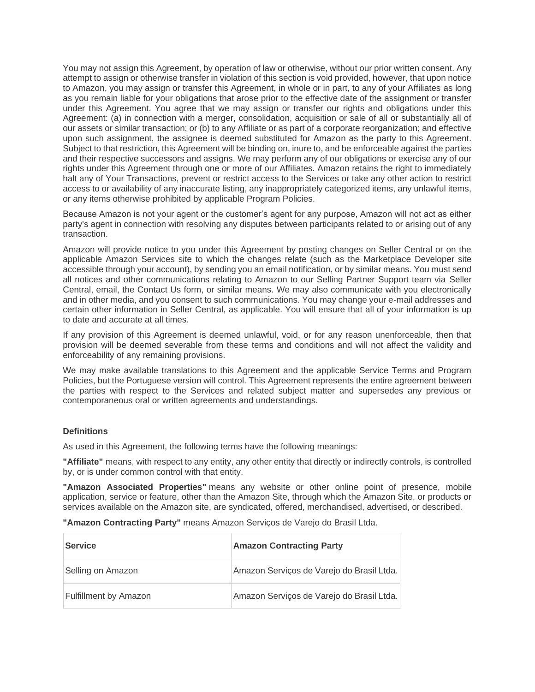You may not assign this Agreement, by operation of law or otherwise, without our prior written consent. Any attempt to assign or otherwise transfer in violation of this section is void provided, however, that upon notice to Amazon, you may assign or transfer this Agreement, in whole or in part, to any of your Affiliates as long as you remain liable for your obligations that arose prior to the effective date of the assignment or transfer under this Agreement. You agree that we may assign or transfer our rights and obligations under this Agreement: (a) in connection with a merger, consolidation, acquisition or sale of all or substantially all of our assets or similar transaction; or (b) to any Affiliate or as part of a corporate reorganization; and effective upon such assignment, the assignee is deemed substituted for Amazon as the party to this Agreement. Subject to that restriction, this Agreement will be binding on, inure to, and be enforceable against the parties and their respective successors and assigns. We may perform any of our obligations or exercise any of our rights under this Agreement through one or more of our Affiliates. Amazon retains the right to immediately halt any of Your Transactions, prevent or restrict access to the Services or take any other action to restrict access to or availability of any inaccurate listing, any inappropriately categorized items, any unlawful items, or any items otherwise prohibited by applicable Program Policies.

Because Amazon is not your agent or the customer's agent for any purpose, Amazon will not act as either party's agent in connection with resolving any disputes between participants related to or arising out of any transaction.

Amazon will provide notice to you under this Agreement by posting changes on Seller Central or on the applicable Amazon Services site to which the changes relate (such as the Marketplace Developer site accessible through your account), by sending you an email notification, or by similar means. You must send all notices and other communications relating to Amazon to our Selling Partner Support team via Seller Central, email, the Contact Us form, or similar means. We may also communicate with you electronically and in other media, and you consent to such communications. You may change your e-mail addresses and certain other information in Seller Central, as applicable. You will ensure that all of your information is up to date and accurate at all times.

If any provision of this Agreement is deemed unlawful, void, or for any reason unenforceable, then that provision will be deemed severable from these terms and conditions and will not affect the validity and enforceability of any remaining provisions.

We may make available translations to this Agreement and the applicable Service Terms and Program Policies, but the Portuguese version will control. This Agreement represents the entire agreement between the parties with respect to the Services and related subject matter and supersedes any previous or contemporaneous oral or written agreements and understandings.

### **Definitions**

As used in this Agreement, the following terms have the following meanings:

**"Affiliate"** means, with respect to any entity, any other entity that directly or indirectly controls, is controlled by, or is under common control with that entity.

**"Amazon Associated Properties"** means any website or other online point of presence, mobile application, service or feature, other than the Amazon Site, through which the Amazon Site, or products or services available on the Amazon site, are syndicated, offered, merchandised, advertised, or described.

**"Amazon Contracting Party"** means Amazon Serviços de Varejo do Brasil Ltda.

| <b>Service</b>               | <b>Amazon Contracting Party</b>           |
|------------------------------|-------------------------------------------|
| Selling on Amazon            | Amazon Serviços de Varejo do Brasil Ltda. |
| <b>Fulfillment by Amazon</b> | Amazon Serviços de Varejo do Brasil Ltda. |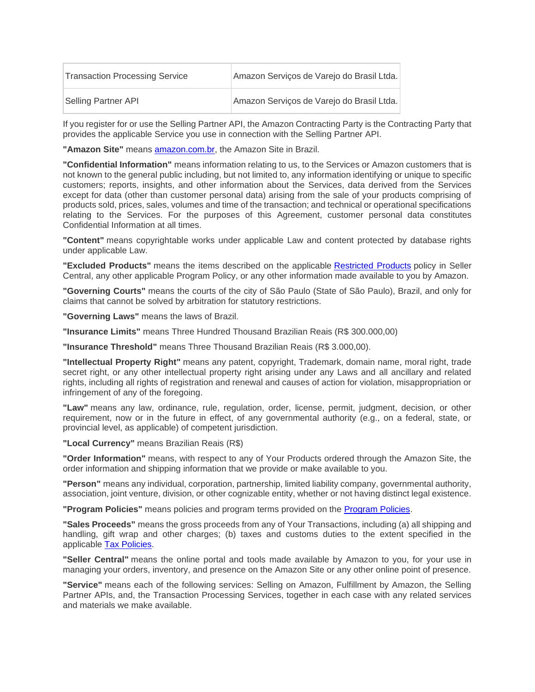| <b>Transaction Processing Service</b> | Amazon Serviços de Varejo do Brasil Ltda. |
|---------------------------------------|-------------------------------------------|
| Selling Partner API                   | Amazon Serviços de Varejo do Brasil Ltda. |

If you register for or use the Selling Partner API, the Amazon Contracting Party is the Contracting Party that provides the applicable Service you use in connection with the Selling Partner API.

**"Amazon Site"** means [amazon.com.br,](https://www.amazon.com.br/) the Amazon Site in Brazil.

**"Confidential Information"** means information relating to us, to the Services or Amazon customers that is not known to the general public including, but not limited to, any information identifying or unique to specific customers; reports, insights, and other information about the Services, data derived from the Services except for data (other than customer personal data) arising from the sale of your products comprising of products sold, prices, sales, volumes and time of the transaction; and technical or operational specifications relating to the Services. For the purposes of this Agreement, customer personal data constitutes Confidential Information at all times.

**"Content"** means copyrightable works under applicable Law and content protected by database rights under applicable Law.

**"Excluded Products"** means the items described on the applicable [Restricted](https://sellercentral.amazon.com/gp/help/help.html?itemID=G200164330&language=pt_BR&ref=ag_G200164330_cont_1791&) Products policy in Seller Central, any other applicable Program Policy, or any other information made available to you by Amazon.

**"Governing Courts"** means the courts of the city of São Paulo (State of São Paulo), Brazil, and only for claims that cannot be solved by arbitration for statutory restrictions.

**"Governing Laws"** means the laws of Brazil.

**"Insurance Limits"** means Three Hundred Thousand Brazilian Reais (R\$ 300.000,00)

**"Insurance Threshold"** means Three Thousand Brazilian Reais (R\$ 3.000,00).

**"Intellectual Property Right"** means any patent, copyright, Trademark, domain name, moral right, trade secret right, or any other intellectual property right arising under any Laws and all ancillary and related rights, including all rights of registration and renewal and causes of action for violation, misappropriation or infringement of any of the foregoing.

**"Law"** means any law, ordinance, rule, regulation, order, license, permit, judgment, decision, or other requirement, now or in the future in effect, of any governmental authority (e.g., on a federal, state, or provincial level, as applicable) of competent jurisdiction.

**"Local Currency"** means Brazilian Reais (R\$)

**"Order Information"** means, with respect to any of Your Products ordered through the Amazon Site, the order information and shipping information that we provide or make available to you.

**"Person"** means any individual, corporation, partnership, limited liability company, governmental authority, association, joint venture, division, or other cognizable entity, whether or not having distinct legal existence.

**"Program Policies"** means policies and program terms provided on the [Program](https://sellercentral.amazon.com/gp/help/help.html?itemID=521&) Policies.

**"Sales Proceeds"** means the gross proceeds from any of Your Transactions, including (a) all shipping and handling, gift wrap and other charges; (b) taxes and customs duties to the extent specified in the applicable Tax [Policies.](https://sellercentral.amazon.com/gp/help/help.html?itemID=G200405820&)

**"Seller Central"** means the online portal and tools made available by Amazon to you, for your use in managing your orders, inventory, and presence on the Amazon Site or any other online point of presence.

**"Service"** means each of the following services: Selling on Amazon, Fulfillment by Amazon, the Selling Partner APIs, and, the Transaction Processing Services, together in each case with any related services and materials we make available.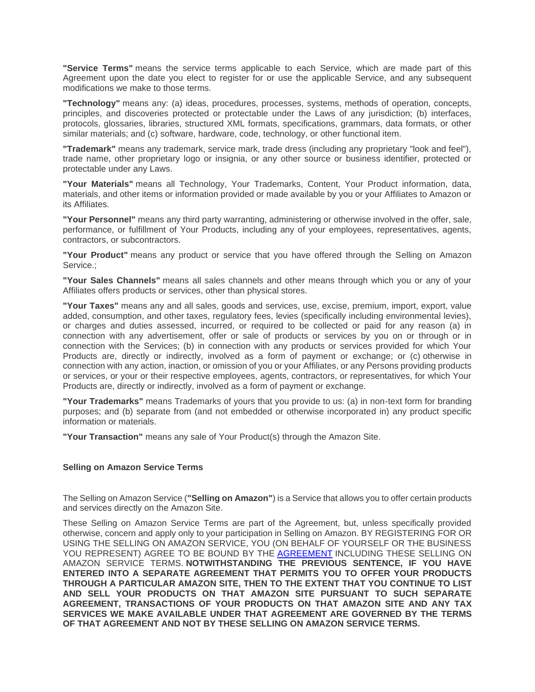**"Service Terms"** means the service terms applicable to each Service, which are made part of this Agreement upon the date you elect to register for or use the applicable Service, and any subsequent modifications we make to those terms.

**"Technology"** means any: (a) ideas, procedures, processes, systems, methods of operation, concepts, principles, and discoveries protected or protectable under the Laws of any jurisdiction; (b) interfaces, protocols, glossaries, libraries, structured XML formats, specifications, grammars, data formats, or other similar materials; and (c) software, hardware, code, technology, or other functional item.

**"Trademark"** means any trademark, service mark, trade dress (including any proprietary "look and feel"), trade name, other proprietary logo or insignia, or any other source or business identifier, protected or protectable under any Laws.

**"Your Materials"** means all Technology, Your Trademarks, Content, Your Product information, data, materials, and other items or information provided or made available by you or your Affiliates to Amazon or its Affiliates.

**"Your Personnel"** means any third party warranting, administering or otherwise involved in the offer, sale, performance, or fulfillment of Your Products, including any of your employees, representatives, agents, contractors, or subcontractors.

**"Your Product"** means any product or service that you have offered through the Selling on Amazon Service.;

**"Your Sales Channels"** means all sales channels and other means through which you or any of your Affiliates offers products or services, other than physical stores.

**"Your Taxes"** means any and all sales, goods and services, use, excise, premium, import, export, value added, consumption, and other taxes, regulatory fees, levies (specifically including environmental levies), or charges and duties assessed, incurred, or required to be collected or paid for any reason (a) in connection with any advertisement, offer or sale of products or services by you on or through or in connection with the Services; (b) in connection with any products or services provided for which Your Products are, directly or indirectly, involved as a form of payment or exchange; or (c) otherwise in connection with any action, inaction, or omission of you or your Affiliates, or any Persons providing products or services, or your or their respective employees, agents, contractors, or representatives, for which Your Products are, directly or indirectly, involved as a form of payment or exchange.

**"Your Trademarks"** means Trademarks of yours that you provide to us: (a) in non-text form for branding purposes; and (b) separate from (and not embedded or otherwise incorporated in) any product specific information or materials.

**"Your Transaction"** means any sale of Your Product(s) through the Amazon Site.

### **Selling on Amazon Service Terms**

The Selling on Amazon Service (**"Selling on Amazon"**) is a Service that allows you to offer certain products and services directly on the Amazon Site.

These Selling on Amazon Service Terms are part of the Agreement, but, unless specifically provided otherwise, concern and apply only to your participation in Selling on Amazon. BY REGISTERING FOR OR USING THE SELLING ON AMAZON SERVICE, YOU (ON BEHALF OF YOURSELF OR THE BUSINESS YOU REPRESENT) AGREE TO BE BOUND BY THE [AGREEMENT](https://sellercentral.amazon.com/gp/help/G1791?language=en_US&ref=ag_G1791_cont_1791) INCLUDING THESE SELLING ON AMAZON SERVICE TERMS. **NOTWITHSTANDING THE PREVIOUS SENTENCE, IF YOU HAVE ENTERED INTO A SEPARATE AGREEMENT THAT PERMITS YOU TO OFFER YOUR PRODUCTS THROUGH A PARTICULAR AMAZON SITE, THEN TO THE EXTENT THAT YOU CONTINUE TO LIST AND SELL YOUR PRODUCTS ON THAT AMAZON SITE PURSUANT TO SUCH SEPARATE AGREEMENT, TRANSACTIONS OF YOUR PRODUCTS ON THAT AMAZON SITE AND ANY TAX SERVICES WE MAKE AVAILABLE UNDER THAT AGREEMENT ARE GOVERNED BY THE TERMS OF THAT AGREEMENT AND NOT BY THESE SELLING ON AMAZON SERVICE TERMS.**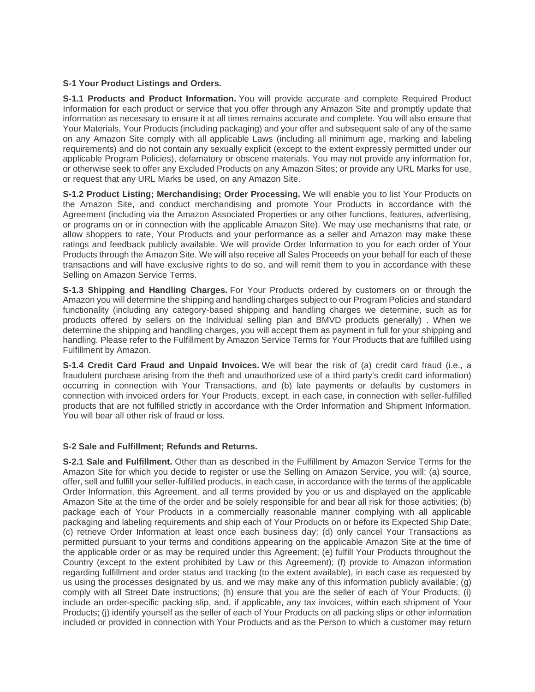# **S-1 Your Product Listings and Orders.**

**S-1.1 Products and Product Information.** You will provide accurate and complete Required Product Information for each product or service that you offer through any Amazon Site and promptly update that information as necessary to ensure it at all times remains accurate and complete. You will also ensure that Your Materials, Your Products (including packaging) and your offer and subsequent sale of any of the same on any Amazon Site comply with all applicable Laws (including all minimum age, marking and labeling requirements) and do not contain any sexually explicit (except to the extent expressly permitted under our applicable Program Policies), defamatory or obscene materials. You may not provide any information for, or otherwise seek to offer any Excluded Products on any Amazon Sites; or provide any URL Marks for use, or request that any URL Marks be used, on any Amazon Site.

**S-1.2 Product Listing; Merchandising; Order Processing.** We will enable you to list Your Products on the Amazon Site, and conduct merchandising and promote Your Products in accordance with the Agreement (including via the Amazon Associated Properties or any other functions, features, advertising, or programs on or in connection with the applicable Amazon Site). We may use mechanisms that rate, or allow shoppers to rate, Your Products and your performance as a seller and Amazon may make these ratings and feedback publicly available. We will provide Order Information to you for each order of Your Products through the Amazon Site. We will also receive all Sales Proceeds on your behalf for each of these transactions and will have exclusive rights to do so, and will remit them to you in accordance with these Selling on Amazon Service Terms.

**S-1.3 Shipping and Handling Charges.** For Your Products ordered by customers on or through the Amazon you will determine the shipping and handling charges subject to our Program Policies and standard functionality (including any category-based shipping and handling charges we determine, such as for products offered by sellers on the Individual selling plan and BMVD products generally) . When we determine the shipping and handling charges, you will accept them as payment in full for your shipping and handling. Please refer to the Fulfillment by Amazon Service Terms for Your Products that are fulfilled using Fulfillment by Amazon.

**S-1.4 Credit Card Fraud and Unpaid Invoices.** We will bear the risk of (a) credit card fraud (i.e., a fraudulent purchase arising from the theft and unauthorized use of a third party's credit card information) occurring in connection with Your Transactions, and (b) late payments or defaults by customers in connection with invoiced orders for Your Products, except, in each case, in connection with seller-fulfilled products that are not fulfilled strictly in accordance with the Order Information and Shipment Information. You will bear all other risk of fraud or loss.

# **S-2 Sale and Fulfillment; Refunds and Returns.**

**S-2.1 Sale and Fulfillment.** Other than as described in the Fulfillment by Amazon Service Terms for the Amazon Site for which you decide to register or use the Selling on Amazon Service, you will: (a) source, offer, sell and fulfill your seller-fulfilled products, in each case, in accordance with the terms of the applicable Order Information, this Agreement, and all terms provided by you or us and displayed on the applicable Amazon Site at the time of the order and be solely responsible for and bear all risk for those activities; (b) package each of Your Products in a commercially reasonable manner complying with all applicable packaging and labeling requirements and ship each of Your Products on or before its Expected Ship Date; (c) retrieve Order Information at least once each business day; (d) only cancel Your Transactions as permitted pursuant to your terms and conditions appearing on the applicable Amazon Site at the time of the applicable order or as may be required under this Agreement; (e) fulfill Your Products throughout the Country (except to the extent prohibited by Law or this Agreement); (f) provide to Amazon information regarding fulfillment and order status and tracking (to the extent available), in each case as requested by us using the processes designated by us, and we may make any of this information publicly available; (g) comply with all Street Date instructions; (h) ensure that you are the seller of each of Your Products; (i) include an order-specific packing slip, and, if applicable, any tax invoices, within each shipment of Your Products; (j) identify yourself as the seller of each of Your Products on all packing slips or other information included or provided in connection with Your Products and as the Person to which a customer may return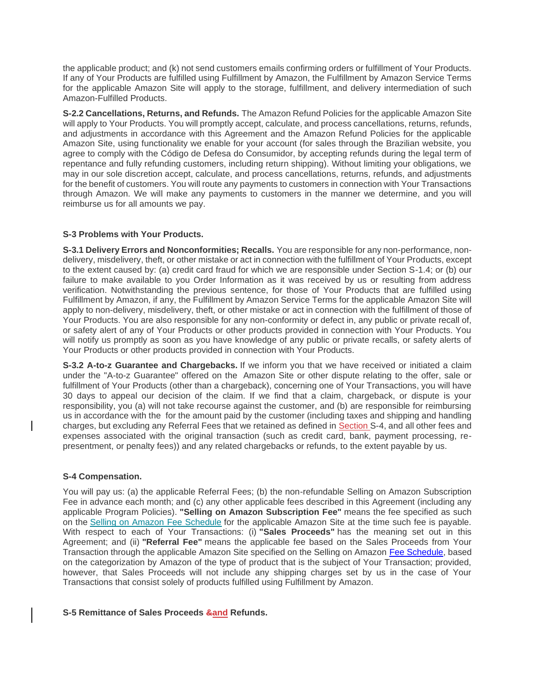the applicable product; and (k) not send customers emails confirming orders or fulfillment of Your Products. If any of Your Products are fulfilled using Fulfillment by Amazon, the Fulfillment by Amazon Service Terms for the applicable Amazon Site will apply to the storage, fulfillment, and delivery intermediation of such Amazon-Fulfilled Products.

**S-2.2 Cancellations, Returns, and Refunds.** The Amazon Refund Policies for the applicable Amazon Site will apply to Your Products. You will promptly accept, calculate, and process cancellations, returns, refunds, and adjustments in accordance with this Agreement and the Amazon Refund Policies for the applicable Amazon Site, using functionality we enable for your account (for sales through the Brazilian website, you agree to comply with the Código de Defesa do Consumidor, by accepting refunds during the legal term of repentance and fully refunding customers, including return shipping). Without limiting your obligations, we may in our sole discretion accept, calculate, and process cancellations, returns, refunds, and adjustments for the benefit of customers. You will route any payments to customers in connection with Your Transactions through Amazon. We will make any payments to customers in the manner we determine, and you will reimburse us for all amounts we pay.

### **S-3 Problems with Your Products.**

**S-3.1 Delivery Errors and Nonconformities; Recalls.** You are responsible for any non-performance, nondelivery, misdelivery, theft, or other mistake or act in connection with the fulfillment of Your Products, except to the extent caused by: (a) credit card fraud for which we are responsible under Section S-1.4; or (b) our failure to make available to you Order Information as it was received by us or resulting from address verification. Notwithstanding the previous sentence, for those of Your Products that are fulfilled using Fulfillment by Amazon, if any, the Fulfillment by Amazon Service Terms for the applicable Amazon Site will apply to non-delivery, misdelivery, theft, or other mistake or act in connection with the fulfillment of those of Your Products. You are also responsible for any non-conformity or defect in, any public or private recall of, or safety alert of any of Your Products or other products provided in connection with Your Products. You will notify us promptly as soon as you have knowledge of any public or private recalls, or safety alerts of Your Products or other products provided in connection with Your Products.

**S-3.2 A-to-z Guarantee and Chargebacks.** If we inform you that we have received or initiated a claim under the "A-to-z Guarantee" offered on the Amazon Site or other dispute relating to the offer, sale or fulfillment of Your Products (other than a chargeback), concerning one of Your Transactions, you will have 30 days to appeal our decision of the claim. If we find that a claim, chargeback, or dispute is your responsibility, you (a) will not take recourse against the customer, and (b) are responsible for reimbursing us in accordance with the for the amount paid by the customer (including taxes and shipping and handling charges, but excluding any Referral Fees that we retained as defined in Section S-4, and all other fees and expenses associated with the original transaction (such as credit card, bank, payment processing, representment, or penalty fees)) and any related chargebacks or refunds, to the extent payable by us.

# **S-4 Compensation.**

You will pay us: (a) the applicable Referral Fees; (b) the non-refundable Selling on Amazon Subscription Fee in advance each month; and (c) any other applicable fees described in this Agreement (including any applicable Program Policies). **"Selling on Amazon Subscription Fee"** means the fee specified as such on the [Selling on Amazon Fee Schedule](https://sellercentral.amazon.com/gp/help/external/G200336920?language=en_US&ref=efph_G200336920_cont_G1791) for the applicable Amazon Site at the time such fee is payable. With respect to each of Your Transactions: (i) **"Sales Proceeds"** has the meaning set out in this Agreement; and (ii) **"Referral Fee"** means the applicable fee based on the Sales Proceeds from Your Transaction through the applicable Amazon Site specified on the Selling on Amazon Fee [Schedule,](https://sellercentral.amazon.com/gp/help/G200336920?language=en_US&ref=ag_G200336920_cont_1791) based on the categorization by Amazon of the type of product that is the subject of Your Transaction; provided, however, that Sales Proceeds will not include any shipping charges set by us in the case of Your Transactions that consist solely of products fulfilled using Fulfillment by Amazon.

### **S-5 Remittance of Sales Proceeds &and Refunds.**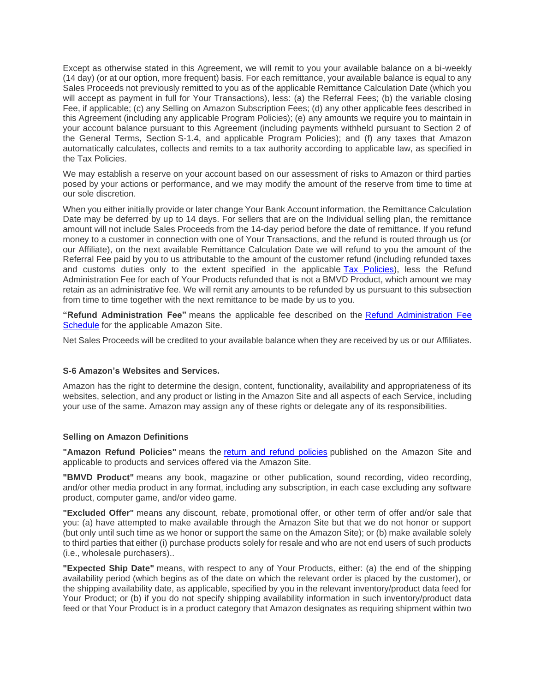Except as otherwise stated in this Agreement, we will remit to you your available balance on a bi-weekly (14 day) (or at our option, more frequent) basis. For each remittance, your available balance is equal to any Sales Proceeds not previously remitted to you as of the applicable Remittance Calculation Date (which you will accept as payment in full for Your Transactions), less: (a) the Referral Fees; (b) the variable closing Fee, if applicable; (c) any Selling on Amazon Subscription Fees; (d) any other applicable fees described in this Agreement (including any applicable Program Policies); (e) any amounts we require you to maintain in your account balance pursuant to this Agreement (including payments withheld pursuant to Section 2 of the General Terms, Section S-1.4, and applicable Program Policies); and (f) any taxes that Amazon automatically calculates, collects and remits to a tax authority according to applicable law, as specified in the Tax Policies.

We may establish a reserve on your account based on our assessment of risks to Amazon or third parties posed by your actions or performance, and we may modify the amount of the reserve from time to time at our sole discretion.

When you either initially provide or later change Your Bank Account information, the Remittance Calculation Date may be deferred by up to 14 days. For sellers that are on the Individual selling plan, the remittance amount will not include Sales Proceeds from the 14-day period before the date of remittance. If you refund money to a customer in connection with one of Your Transactions, and the refund is routed through us (or our Affiliate), on the next available Remittance Calculation Date we will refund to you the amount of the Referral Fee paid by you to us attributable to the amount of the customer refund (including refunded taxes and customs duties only to the extent specified in the applicable Tax [Policies\)](https://sellercentral.amazon.com/gp/help/help.html?itemID=G200405820&), less the Refund Administration Fee for each of Your Products refunded that is not a BMVD Product, which amount we may retain as an administrative fee. We will remit any amounts to be refunded by us pursuant to this subsection from time to time together with the next remittance to be made by us to you.

**"Refund Administration Fee"** means the applicable fee described on the Refund [Administration](https://sellercentral.amazon.com/gp/help/help-page.html?itemID=21531&language=en_US&ref=ag_21531_cont_1791) Fee [Schedule](https://sellercentral.amazon.com/gp/help/help-page.html?itemID=21531&language=en_US&ref=ag_21531_cont_1791) for the applicable Amazon Site.

Net Sales Proceeds will be credited to your available balance when they are received by us or our Affiliates.

### **S-6 Amazon's Websites and Services.**

Amazon has the right to determine the design, content, functionality, availability and appropriateness of its websites, selection, and any product or listing in the Amazon Site and all aspects of each Service, including your use of the same. Amazon may assign any of these rights or delegate any of its responsibilities.

#### **Selling on Amazon Definitions**

**"Amazon Refund Policies"** means the return and refund [policies](https://www.amazon.com.br/gp/help/customer/display.html?nodeId=201365670&language=en_US&ref=ag_home_cont_1791) published on the Amazon Site and applicable to products and services offered via the Amazon Site.

**"BMVD Product"** means any book, magazine or other publication, sound recording, video recording, and/or other media product in any format, including any subscription, in each case excluding any software product, computer game, and/or video game.

**"Excluded Offer"** means any discount, rebate, promotional offer, or other term of offer and/or sale that you: (a) have attempted to make available through the Amazon Site but that we do not honor or support (but only until such time as we honor or support the same on the Amazon Site); or (b) make available solely to third parties that either (i) purchase products solely for resale and who are not end users of such products (i.e., wholesale purchasers)..

**"Expected Ship Date"** means, with respect to any of Your Products, either: (a) the end of the shipping availability period (which begins as of the date on which the relevant order is placed by the customer), or the shipping availability date, as applicable, specified by you in the relevant inventory/product data feed for Your Product; or (b) if you do not specify shipping availability information in such inventory/product data feed or that Your Product is in a product category that Amazon designates as requiring shipment within two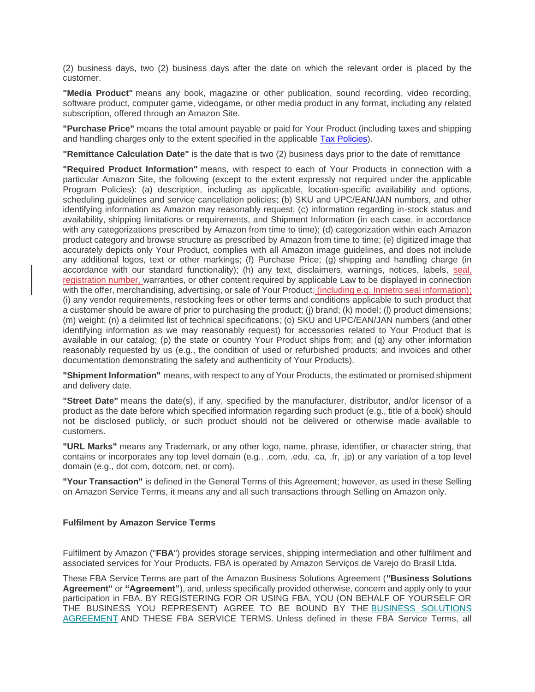(2) business days, two (2) business days after the date on which the relevant order is placed by the customer.

**"Media Product"** means any book, magazine or other publication, sound recording, video recording, software product, computer game, videogame, or other media product in any format, including any related subscription, offered through an Amazon Site.

**"Purchase Price"** means the total amount payable or paid for Your Product (including taxes and shipping and handling charges only to the extent specified in the applicable Tax [Policies\)](https://sellercentral.amazon.com/gp/help/help.html?itemID=G200405820&).

**"Remittance Calculation Date"** is the date that is two (2) business days prior to the date of remittance

**"Required Product Information"** means, with respect to each of Your Products in connection with a particular Amazon Site, the following (except to the extent expressly not required under the applicable Program Policies): (a) description, including as applicable, location-specific availability and options, scheduling guidelines and service cancellation policies; (b) SKU and UPC/EAN/JAN numbers, and other identifying information as Amazon may reasonably request; (c) information regarding in-stock status and availability, shipping limitations or requirements, and Shipment Information (in each case, in accordance with any categorizations prescribed by Amazon from time to time); (d) categorization within each Amazon product category and browse structure as prescribed by Amazon from time to time; (e) digitized image that accurately depicts only Your Product, complies with all Amazon image guidelines, and does not include any additional logos, text or other markings; (f) Purchase Price; (g) shipping and handling charge (in accordance with our standard functionality); (h) any text, disclaimers, warnings, notices, labels, seal, registration number, warranties, or other content required by applicable Law to be displayed in connection with the offer, merchandising, advertising, or sale of Your Product; (including e.g. Inmetro seal information); (i) any vendor requirements, restocking fees or other terms and conditions applicable to such product that a customer should be aware of prior to purchasing the product; (j) brand; (k) model; (l) product dimensions; (m) weight; (n) a delimited list of technical specifications; (o) SKU and UPC/EAN/JAN numbers (and other identifying information as we may reasonably request) for accessories related to Your Product that is available in our catalog; (p) the state or country Your Product ships from; and (q) any other information reasonably requested by us (e.g., the condition of used or refurbished products; and invoices and other documentation demonstrating the safety and authenticity of Your Products).

**"Shipment Information"** means, with respect to any of Your Products, the estimated or promised shipment and delivery date.

**"Street Date"** means the date(s), if any, specified by the manufacturer, distributor, and/or licensor of a product as the date before which specified information regarding such product (e.g., title of a book) should not be disclosed publicly, or such product should not be delivered or otherwise made available to customers.

**"URL Marks"** means any Trademark, or any other logo, name, phrase, identifier, or character string, that contains or incorporates any top level domain (e.g., .com, .edu, .ca, .fr, .jp) or any variation of a top level domain (e.g., dot com, dotcom, net, or com).

**"Your Transaction"** is defined in the General Terms of this Agreement; however, as used in these Selling on Amazon Service Terms, it means any and all such transactions through Selling on Amazon only.

#### **Fulfilment by Amazon Service Terms**

Fulfilment by Amazon ("**FBA**") provides storage services, shipping intermediation and other fulfilment and associated services for Your Products. FBA is operated by Amazon Serviços de Varejo do Brasil Ltda.

These FBA Service Terms are part of the Amazon Business Solutions Agreement (**"Business Solutions Agreement"** or **"Agreement"**), and, unless specifically provided otherwise, concern and apply only to your participation in FBA. BY REGISTERING FOR OR USING FBA, YOU (ON BEHALF OF YOURSELF OR THE BUSINESS YOU REPRESENT) AGREE TO BE BOUND BY THE [BUSINESS SOLUTIONS](https://sellercentral.amazon.com.br/gp/help/external/G1791?language=en_US&ref=efph_G1791_cont_G1791)  [AGREEMENT](https://sellercentral.amazon.com.br/gp/help/external/G1791?language=en_US&ref=efph_G1791_cont_G1791) AND THESE FBA SERVICE TERMS. Unless defined in these FBA Service Terms, all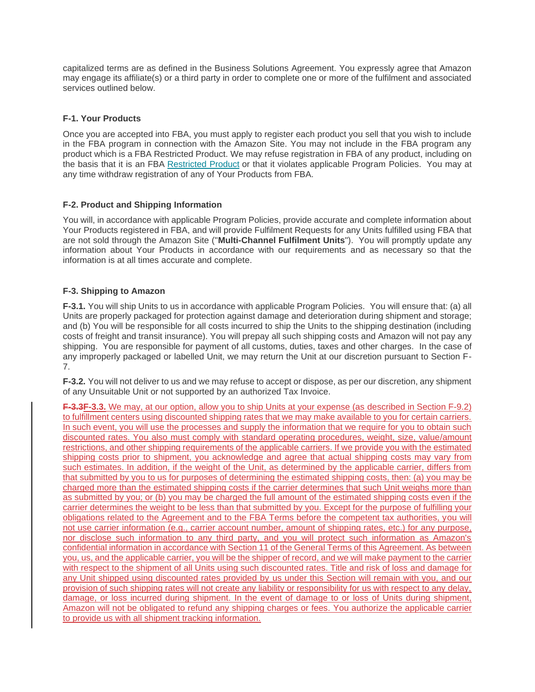capitalized terms are as defined in the Business Solutions Agreement. You expressly agree that Amazon may engage its affiliate(s) or a third party in order to complete one or more of the fulfilment and associated services outlined below.

# **F-1. Your Products**

Once you are accepted into FBA, you must apply to register each product you sell that you wish to include in the FBA program in connection with the Amazon Site. You may not include in the FBA program any product which is a FBA Restricted Product. We may refuse registration in FBA of any product, including on the basis that it is an FBA [Restricted Product](https://sellercentral.amazon.com.br/gp/help/external/200140860?language=en_US&ref=efph_200140860_cont_G1791) or that it violates applicable Program Policies. You may at any time withdraw registration of any of Your Products from FBA.

# **F-2. Product and Shipping Information**

You will, in accordance with applicable Program Policies, provide accurate and complete information about Your Products registered in FBA, and will provide Fulfilment Requests for any Units fulfilled using FBA that are not sold through the Amazon Site ("**Multi-Channel Fulfilment Units**"). You will promptly update any information about Your Products in accordance with our requirements and as necessary so that the information is at all times accurate and complete.

# **F-3. Shipping to Amazon**

**F-3.1.** You will ship Units to us in accordance with applicable Program Policies. You will ensure that: (a) all Units are properly packaged for protection against damage and deterioration during shipment and storage; and (b) You will be responsible for all costs incurred to ship the Units to the shipping destination (including costs of freight and transit insurance). You will prepay all such shipping costs and Amazon will not pay any shipping. You are responsible for payment of all customs, duties, taxes and other charges. In the case of any improperly packaged or labelled Unit, we may return the Unit at our discretion pursuant to Section F-7.

**F-3.2.** You will not deliver to us and we may refuse to accept or dispose, as per our discretion, any shipment of any Unsuitable Unit or not supported by an authorized Tax Invoice.

**F-3.3F-3.3.** We may, at our option, allow you to ship Units at your expense (as described in Section F-9.2) to fulfillment centers using discounted shipping rates that we may make available to you for certain carriers. In such event, you will use the processes and supply the information that we require for you to obtain such discounted rates. You also must comply with standard operating procedures, weight, size, value/amount restrictions, and other shipping requirements of the applicable carriers. If we provide you with the estimated shipping costs prior to shipment, you acknowledge and agree that actual shipping costs may vary from such estimates. In addition, if the weight of the Unit, as determined by the applicable carrier, differs from that submitted by you to us for purposes of determining the estimated shipping costs, then: (a) you may be charged more than the estimated shipping costs if the carrier determines that such Unit weighs more than as submitted by you; or (b) you may be charged the full amount of the estimated shipping costs even if the carrier determines the weight to be less than that submitted by you. Except for the purpose of fulfilling your obligations related to the Agreement and to the FBA Terms before the competent tax authorities, you will not use carrier information (e.g., carrier account number, amount of shipping rates, etc.) for any purpose, nor disclose such information to any third party, and you will protect such information as Amazon's confidential information in accordance with Section 11 of the General Terms of this Agreement. As between you, us, and the applicable carrier, you will be the shipper of record, and we will make payment to the carrier with respect to the shipment of all Units using such discounted rates. Title and risk of loss and damage for any Unit shipped using discounted rates provided by us under this Section will remain with you, and our provision of such shipping rates will not create any liability or responsibility for us with respect to any delay, damage, or loss incurred during shipment. In the event of damage to or loss of Units during shipment, Amazon will not be obligated to refund any shipping charges or fees. You authorize the applicable carrier to provide us with all shipment tracking information.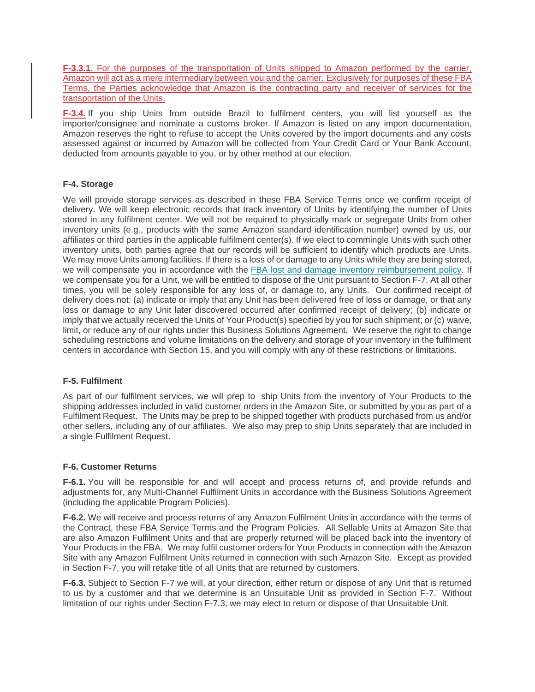**F-3.3.1.** For the purposes of the transportation of Units shipped to Amazon performed by the carrier, Amazon will act as a mere intermediary between you and the carrier. Exclusively for purposes of these FBA Terms, the Parties acknowledge that Amazon is the contracting party and receiver of services for the transportation of the Units.

**F-3.4.** If you ship Units from outside Brazil to fulfilment centers, you will list yourself as the importer/consignee and nominate a customs broker. If Amazon is listed on any import documentation, Amazon reserves the right to refuse to accept the Units covered by the import documents and any costs assessed against or incurred by Amazon will be collected from Your Credit Card or Your Bank Account, deducted from amounts payable to you, or by other method at our election.

# **F-4. Storage**

We will provide storage services as described in these FBA Service Terms once we confirm receipt of delivery. We will keep electronic records that track inventory of Units by identifying the number of Units stored in any fulfilment center. We will not be required to physically mark or segregate Units from other inventory units (e.g., products with the same Amazon standard identification number) owned by us, our affiliates or third parties in the applicable fulfilment center(s). If we elect to commingle Units with such other inventory units, both parties agree that our records will be sufficient to identify which products are Units. We may move Units among facilities. If there is a loss of or damage to any Units while they are being stored, we will compensate you in accordance with the [FBA lost and damage inventory reimbursement policy.](https://sellercentral.amazon.com.br/gp/help/external/G200213130?language=en_US&ref=efph_G200213130_cont_G1791) If we compensate you for a Unit, we will be entitled to dispose of the Unit pursuant to Section F-7. At all other times, you will be solely responsible for any loss of, or damage to, any Units. Our confirmed receipt of delivery does not: (a) indicate or imply that any Unit has been delivered free of loss or damage, or that any loss or damage to any Unit later discovered occurred after confirmed receipt of delivery; (b) indicate or imply that we actually received the Units of Your Product(s) specified by you for such shipment; or (c) waive, limit, or reduce any of our rights under this Business Solutions Agreement. We reserve the right to change scheduling restrictions and volume limitations on the delivery and storage of your inventory in the fulfilment centers in accordance with Section 15, and you will comply with any of these restrictions or limitations.

### **F-5. Fulfilment**

As part of our fulfilment services, we will prep to ship Units from the inventory of Your Products to the shipping addresses included in valid customer orders in the Amazon Site, or submitted by you as part of a Fulfilment Request. The Units may be prep to be shipped together with products purchased from us and/or other sellers, including any of our affiliates. We also may prep to ship Units separately that are included in a single Fulfilment Request.

# **F-6. Customer Returns**

**F-6.1.** You will be responsible for and will accept and process returns of, and provide refunds and adjustments for, any Multi-Channel Fulfilment Units in accordance with the Business Solutions Agreement (including the applicable Program Policies).

**F-6.2.** We will receive and process returns of any Amazon Fulfilment Units in accordance with the terms of the Contract, these FBA Service Terms and the Program Policies. All Sellable Units at Amazon Site that are also Amazon Fulfilment Units and that are properly returned will be placed back into the inventory of Your Products in the FBA. We may fulfil customer orders for Your Products in connection with the Amazon Site with any Amazon Fulfilment Units returned in connection with such Amazon Site. Except as provided in Section F-7, you will retake title of all Units that are returned by customers.

**F-6.3.** Subject to Section F-7 we will, at your direction, either return or dispose of any Unit that is returned to us by a customer and that we determine is an Unsuitable Unit as provided in Section F-7. Without limitation of our rights under Section F-7.3, we may elect to return or dispose of that Unsuitable Unit.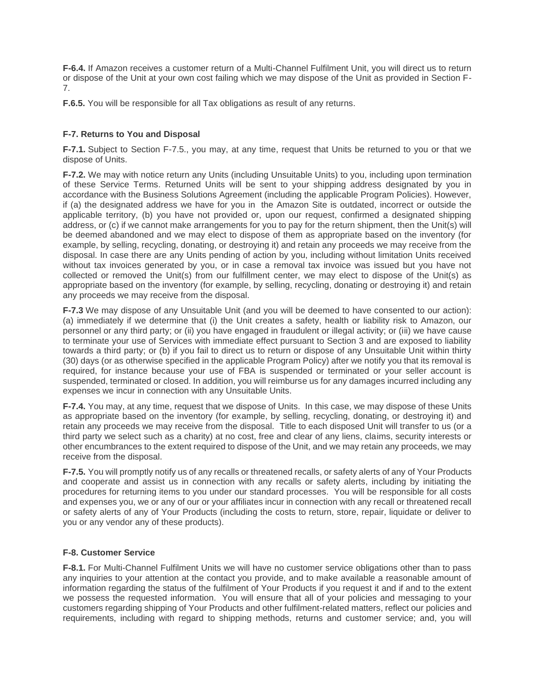**F-6.4.** If Amazon receives a customer return of a Multi-Channel Fulfilment Unit, you will direct us to return or dispose of the Unit at your own cost failing which we may dispose of the Unit as provided in Section F-7.

**F.6.5.** You will be responsible for all Tax obligations as result of any returns.

## **F-7. Returns to You and Disposal**

**F-7.1.** Subject to Section F-7.5., you may, at any time, request that Units be returned to you or that we dispose of Units.

**F-7.2.** We may with notice return any Units (including Unsuitable Units) to you, including upon termination of these Service Terms. Returned Units will be sent to your shipping address designated by you in accordance with the Business Solutions Agreement (including the applicable Program Policies). However, if (a) the designated address we have for you in the Amazon Site is outdated, incorrect or outside the applicable territory, (b) you have not provided or, upon our request, confirmed a designated shipping address, or (c) if we cannot make arrangements for you to pay for the return shipment, then the Unit(s) will be deemed abandoned and we may elect to dispose of them as appropriate based on the inventory (for example, by selling, recycling, donating, or destroying it) and retain any proceeds we may receive from the disposal. In case there are any Units pending of action by you, including without limitation Units received without tax invoices generated by you, or in case a removal tax invoice was issued but you have not collected or removed the Unit(s) from our fulfillment center, we may elect to dispose of the Unit(s) as appropriate based on the inventory (for example, by selling, recycling, donating or destroying it) and retain any proceeds we may receive from the disposal.

**F-7.3** We may dispose of any Unsuitable Unit (and you will be deemed to have consented to our action): (a) immediately if we determine that (i) the Unit creates a safety, health or liability risk to Amazon, our personnel or any third party; or (ii) you have engaged in fraudulent or illegal activity; or (iii) we have cause to terminate your use of Services with immediate effect pursuant to Section 3 and are exposed to liability towards a third party; or (b) if you fail to direct us to return or dispose of any Unsuitable Unit within thirty (30) days (or as otherwise specified in the applicable Program Policy) after we notify you that its removal is required, for instance because your use of FBA is suspended or terminated or your seller account is suspended, terminated or closed. In addition, you will reimburse us for any damages incurred including any expenses we incur in connection with any Unsuitable Units.

**F-7.4.** You may, at any time, request that we dispose of Units. In this case, we may dispose of these Units as appropriate based on the inventory (for example, by selling, recycling, donating, or destroying it) and retain any proceeds we may receive from the disposal. Title to each disposed Unit will transfer to us (or a third party we select such as a charity) at no cost, free and clear of any liens, claims, security interests or other encumbrances to the extent required to dispose of the Unit, and we may retain any proceeds, we may receive from the disposal.

**F-7.5.** You will promptly notify us of any recalls or threatened recalls, or safety alerts of any of Your Products and cooperate and assist us in connection with any recalls or safety alerts, including by initiating the procedures for returning items to you under our standard processes. You will be responsible for all costs and expenses you, we or any of our or your affiliates incur in connection with any recall or threatened recall or safety alerts of any of Your Products (including the costs to return, store, repair, liquidate or deliver to you or any vendor any of these products).

### **F-8. Customer Service**

**F-8.1.** For Multi-Channel Fulfilment Units we will have no customer service obligations other than to pass any inquiries to your attention at the contact you provide, and to make available a reasonable amount of information regarding the status of the fulfilment of Your Products if you request it and if and to the extent we possess the requested information. You will ensure that all of your policies and messaging to your customers regarding shipping of Your Products and other fulfilment-related matters, reflect our policies and requirements, including with regard to shipping methods, returns and customer service; and, you will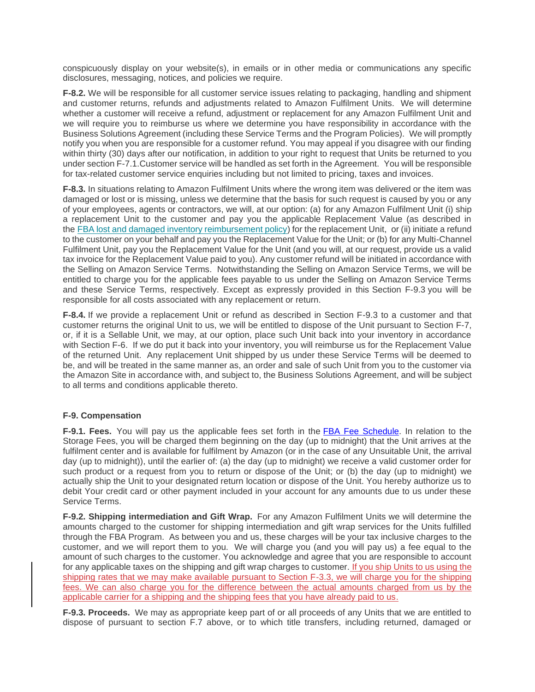conspicuously display on your website(s), in emails or in other media or communications any specific disclosures, messaging, notices, and policies we require.

**F-8.2.** We will be responsible for all customer service issues relating to packaging, handling and shipment and customer returns, refunds and adjustments related to Amazon Fulfilment Units. We will determine whether a customer will receive a refund, adjustment or replacement for any Amazon Fulfilment Unit and we will require you to reimburse us where we determine you have responsibility in accordance with the Business Solutions Agreement (including these Service Terms and the Program Policies). We will promptly notify you when you are responsible for a customer refund. You may appeal if you disagree with our finding within thirty (30) days after our notification, in addition to your right to request that Units be returned to you under section F-7.1.Customer service will be handled as set forth in the Agreement. You will be responsible for tax-related customer service enquiries including but not limited to pricing, taxes and invoices.

**F-8.3.** In situations relating to Amazon Fulfilment Units where the wrong item was delivered or the item was damaged or lost or is missing, unless we determine that the basis for such request is caused by you or any of your employees, agents or contractors, we will, at our option: (a) for any Amazon Fulfilment Unit (i) ship a replacement Unit to the customer and pay you the applicable Replacement Value (as described in the [FBA lost and damaged inventory reimbursement policy\)](https://sellercentral.amazon.com.br/gp/help/external/G200213130?language=en_US&ref=efph_G200213130_cont_G1791) for the replacement Unit, or (ii) initiate a refund to the customer on your behalf and pay you the Replacement Value for the Unit; or (b) for any Multi-Channel Fulfilment Unit, pay you the Replacement Value for the Unit (and you will, at our request, provide us a valid tax invoice for the Replacement Value paid to you). Any customer refund will be initiated in accordance with the Selling on Amazon Service Terms. Notwithstanding the Selling on Amazon Service Terms, we will be entitled to charge you for the applicable fees payable to us under the Selling on Amazon Service Terms and these Service Terms, respectively. Except as expressly provided in this Section F-9.3 you will be responsible for all costs associated with any replacement or return.

**F-8.4.** If we provide a replacement Unit or refund as described in Section F-9.3 to a customer and that customer returns the original Unit to us, we will be entitled to dispose of the Unit pursuant to Section F-7, or, if it is a Sellable Unit, we may, at our option, place such Unit back into your inventory in accordance with Section F-6. If we do put it back into your inventory, you will reimburse us for the Replacement Value of the returned Unit. Any replacement Unit shipped by us under these Service Terms will be deemed to be, and will be treated in the same manner as, an order and sale of such Unit from you to the customer via the Amazon Site in accordance with, and subject to, the Business Solutions Agreement, and will be subject to all terms and conditions applicable thereto.

### **F-9. Compensation**

**F-9.1. Fees.** You will pay us the applicable fees set forth in the FBA Fee [Schedule.](https://sellercentral.amazon.com.br/gp/help/G201191670?ref_=xx_swlang_head_xx&mons_sel_locale=pt_BR&languageSwitched=1) In relation to the Storage Fees, you will be charged them beginning on the day (up to midnight) that the Unit arrives at the fulfilment center and is available for fulfilment by Amazon (or in the case of any Unsuitable Unit, the arrival day (up to midnight)), until the earlier of: (a) the day (up to midnight) we receive a valid customer order for such product or a request from you to return or dispose of the Unit; or (b) the day (up to midnight) we actually ship the Unit to your designated return location or dispose of the Unit. You hereby authorize us to debit Your credit card or other payment included in your account for any amounts due to us under these Service Terms.

**F-9.2. Shipping intermediation and Gift Wrap.** For any Amazon Fulfilment Units we will determine the amounts charged to the customer for shipping intermediation and gift wrap services for the Units fulfilled through the FBA Program. As between you and us, these charges will be your tax inclusive charges to the customer, and we will report them to you. We will charge you (and you will pay us) a fee equal to the amount of such charges to the customer. You acknowledge and agree that you are responsible to account for any applicable taxes on the shipping and gift wrap charges to customer. If you ship Units to us using the shipping rates that we may make available pursuant to Section F-3.3, we will charge you for the shipping fees. We can also charge you for the difference between the actual amounts charged from us by the applicable carrier for a shipping and the shipping fees that you have already paid to us.

**F-9.3. Proceeds.** We may as appropriate keep part of or all proceeds of any Units that we are entitled to dispose of pursuant to section F.7 above, or to which title transfers, including returned, damaged or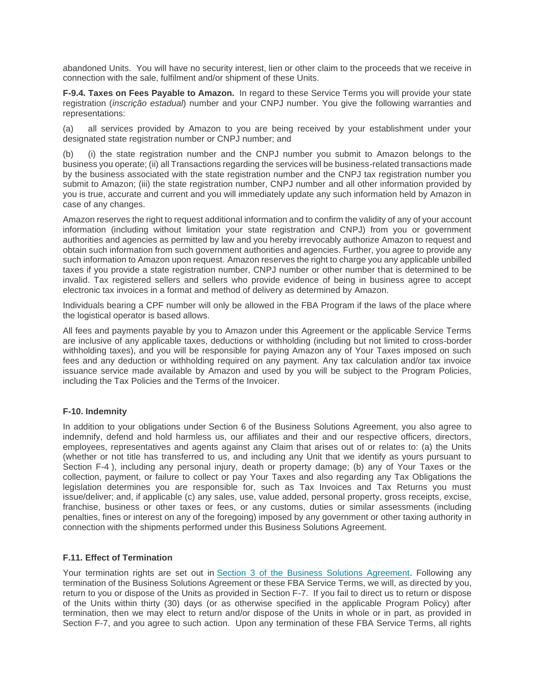abandoned Units. You will have no security interest, lien or other claim to the proceeds that we receive in connection with the sale, fulfilment and/or shipment of these Units.

**F-9.4. Taxes on Fees Payable to Amazon.** In regard to these Service Terms you will provide your state registration (*inscrição estadual*) number and your CNPJ number. You give the following warranties and representations:

(a) all services provided by Amazon to you are being received by your establishment under your designated state registration number or CNPJ number; and

(b) (i) the state registration number and the CNPJ number you submit to Amazon belongs to the business you operate; (ii) all Transactions regarding the services will be business-related transactions made by the business associated with the state registration number and the CNPJ tax registration number you submit to Amazon; (iii) the state registration number, CNPJ number and all other information provided by you is true, accurate and current and you will immediately update any such information held by Amazon in case of any changes.

Amazon reserves the right to request additional information and to confirm the validity of any of your account information (including without limitation your state registration and CNPJ) from you or government authorities and agencies as permitted by law and you hereby irrevocably authorize Amazon to request and obtain such information from such government authorities and agencies. Further, you agree to provide any such information to Amazon upon request. Amazon reserves the right to charge you any applicable unbilled taxes if you provide a state registration number, CNPJ number or other number that is determined to be invalid. Tax registered sellers and sellers who provide evidence of being in business agree to accept electronic tax invoices in a format and method of delivery as determined by Amazon.

Individuals bearing a CPF number will only be allowed in the FBA Program if the laws of the place where the logistical operator is based allows.

All fees and payments payable by you to Amazon under this Agreement or the applicable Service Terms are inclusive of any applicable taxes, deductions or withholding (including but not limited to cross-border withholding taxes), and you will be responsible for paying Amazon any of Your Taxes imposed on such fees and any deduction or withholding required on any payment. Any tax calculation and/or tax invoice issuance service made available by Amazon and used by you will be subject to the Program Policies, including the Tax Policies and the Terms of the Invoicer.

### **F-10. Indemnity**

In addition to your obligations under Section 6 of the Business Solutions Agreement, you also agree to indemnify, defend and hold harmless us, our affiliates and their and our respective officers, directors, employees, representatives and agents against any Claim that arises out of or relates to: (a) the Units (whether or not title has transferred to us, and including any Unit that we identify as yours pursuant to Section F-4 ), including any personal injury, death or property damage; (b) any of Your Taxes or the collection, payment, or failure to collect or pay Your Taxes and also regarding any Tax Obligations the legislation determines you are responsible for, such as Tax Invoices and Tax Returns you must issue/deliver; and, if applicable (c) any sales, use, value added, personal property, gross receipts, excise, franchise, business or other taxes or fees, or any customs, duties or similar assessments (including penalties, fines or interest on any of the foregoing) imposed by any government or other taxing authority in connection with the shipments performed under this Business Solutions Agreement.

### **F.11. Effect of Termination**

Your termination rights are set out in [Section 3 of the Business Solutions Agreement.](https://sellercentral.amazon.com.br/gp/help/external/G1791?language=en_US&ref=efph_G1791_cont_G1791) Following any termination of the Business Solutions Agreement or these FBA Service Terms, we will, as directed by you, return to you or dispose of the Units as provided in Section F-7. If you fail to direct us to return or dispose of the Units within thirty (30) days (or as otherwise specified in the applicable Program Policy) after termination, then we may elect to return and/or dispose of the Units in whole or in part, as provided in Section F-7, and you agree to such action. Upon any termination of these FBA Service Terms, all rights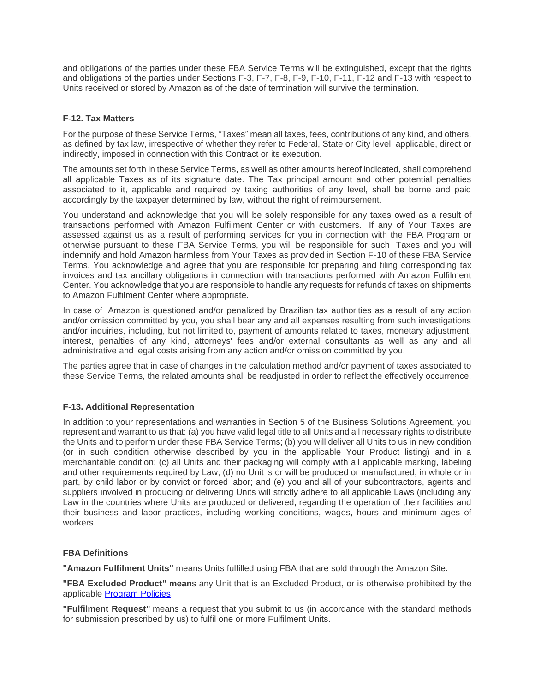and obligations of the parties under these FBA Service Terms will be extinguished, except that the rights and obligations of the parties under Sections F-3, F-7, F-8, F-9, F-10, F-11, F-12 and F-13 with respect to Units received or stored by Amazon as of the date of termination will survive the termination.

### **F-12. Tax Matters**

For the purpose of these Service Terms, "Taxes" mean all taxes, fees, contributions of any kind, and others, as defined by tax law, irrespective of whether they refer to Federal, State or City level, applicable, direct or indirectly, imposed in connection with this Contract or its execution.

The amounts set forth in these Service Terms, as well as other amounts hereof indicated, shall comprehend all applicable Taxes as of its signature date. The Tax principal amount and other potential penalties associated to it, applicable and required by taxing authorities of any level, shall be borne and paid accordingly by the taxpayer determined by law, without the right of reimbursement.

You understand and acknowledge that you will be solely responsible for any taxes owed as a result of transactions performed with Amazon Fulfilment Center or with customers. If any of Your Taxes are assessed against us as a result of performing services for you in connection with the FBA Program or otherwise pursuant to these FBA Service Terms, you will be responsible for such Taxes and you will indemnify and hold Amazon harmless from Your Taxes as provided in Section F-10 of these FBA Service Terms. You acknowledge and agree that you are responsible for preparing and filing corresponding tax invoices and tax ancillary obligations in connection with transactions performed with Amazon Fulfilment Center. You acknowledge that you are responsible to handle any requests for refunds of taxes on shipments to Amazon Fulfilment Center where appropriate.

In case of Amazon is questioned and/or penalized by Brazilian tax authorities as a result of any action and/or omission committed by you, you shall bear any and all expenses resulting from such investigations and/or inquiries, including, but not limited to, payment of amounts related to taxes, monetary adjustment, interest, penalties of any kind, attorneys' fees and/or external consultants as well as any and all administrative and legal costs arising from any action and/or omission committed by you.

The parties agree that in case of changes in the calculation method and/or payment of taxes associated to these Service Terms, the related amounts shall be readjusted in order to reflect the effectively occurrence.

# **F-13. Additional Representation**

In addition to your representations and warranties in Section 5 of the Business Solutions Agreement, you represent and warrant to us that: (a) you have valid legal title to all Units and all necessary rights to distribute the Units and to perform under these FBA Service Terms; (b) you will deliver all Units to us in new condition (or in such condition otherwise described by you in the applicable Your Product listing) and in a merchantable condition; (c) all Units and their packaging will comply with all applicable marking, labeling and other requirements required by Law; (d) no Unit is or will be produced or manufactured, in whole or in part, by child labor or by convict or forced labor; and (e) you and all of your subcontractors, agents and suppliers involved in producing or delivering Units will strictly adhere to all applicable Laws (including any Law in the countries where Units are produced or delivered, regarding the operation of their facilities and their business and labor practices, including working conditions, wages, hours and minimum ages of workers.

### **FBA Definitions**

**"Amazon Fulfilment Units"** means Units fulfilled using FBA that are sold through the Amazon Site.

**"FBA Excluded Product" mean**s any Unit that is an Excluded Product, or is otherwise prohibited by the applicable [Program](https://sellercentral.amazon.com.br/gp/help/G521?ref=ag_G521_shel_201743940) Policies.

**"Fulfilment Request"** means a request that you submit to us (in accordance with the standard methods for submission prescribed by us) to fulfil one or more Fulfilment Units.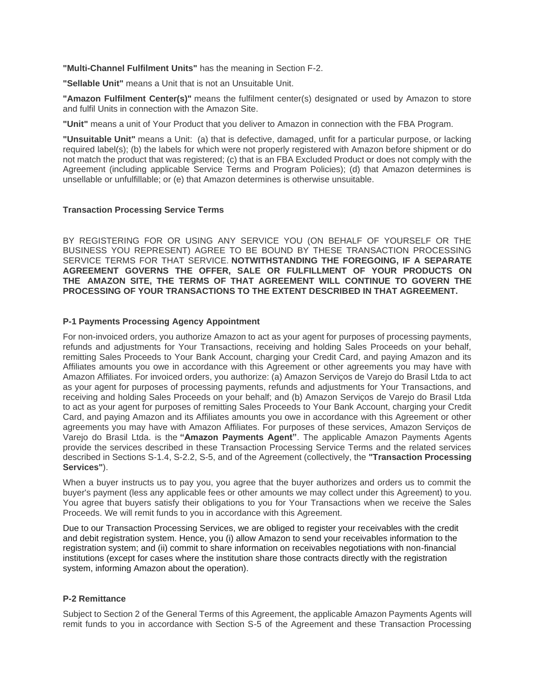**"Multi-Channel Fulfilment Units"** has the meaning in Section F-2.

**"Sellable Unit"** means a Unit that is not an Unsuitable Unit.

**"Amazon Fulfilment Center(s)"** means the fulfilment center(s) designated or used by Amazon to store and fulfil Units in connection with the Amazon Site.

**"Unit"** means a unit of Your Product that you deliver to Amazon in connection with the FBA Program.

**"Unsuitable Unit"** means a Unit: (a) that is defective, damaged, unfit for a particular purpose, or lacking required label(s); (b) the labels for which were not properly registered with Amazon before shipment or do not match the product that was registered; (c) that is an FBA Excluded Product or does not comply with the Agreement (including applicable Service Terms and Program Policies); (d) that Amazon determines is unsellable or unfulfillable; or (e) that Amazon determines is otherwise unsuitable.

### **Transaction Processing Service Terms**

BY REGISTERING FOR OR USING ANY SERVICE YOU (ON BEHALF OF YOURSELF OR THE BUSINESS YOU REPRESENT) AGREE TO BE BOUND BY THESE TRANSACTION PROCESSING SERVICE TERMS FOR THAT SERVICE. **NOTWITHSTANDING THE FOREGOING, IF A SEPARATE AGREEMENT GOVERNS THE OFFER, SALE OR FULFILLMENT OF YOUR PRODUCTS ON THE AMAZON SITE, THE TERMS OF THAT AGREEMENT WILL CONTINUE TO GOVERN THE PROCESSING OF YOUR TRANSACTIONS TO THE EXTENT DESCRIBED IN THAT AGREEMENT.**

### **P-1 Payments Processing Agency Appointment**

For non-invoiced orders, you authorize Amazon to act as your agent for purposes of processing payments, refunds and adjustments for Your Transactions, receiving and holding Sales Proceeds on your behalf, remitting Sales Proceeds to Your Bank Account, charging your Credit Card, and paying Amazon and its Affiliates amounts you owe in accordance with this Agreement or other agreements you may have with Amazon Affiliates. For invoiced orders, you authorize: (a) Amazon Serviços de Varejo do Brasil Ltda to act as your agent for purposes of processing payments, refunds and adjustments for Your Transactions, and receiving and holding Sales Proceeds on your behalf; and (b) Amazon Serviços de Varejo do Brasil Ltda to act as your agent for purposes of remitting Sales Proceeds to Your Bank Account, charging your Credit Card, and paying Amazon and its Affiliates amounts you owe in accordance with this Agreement or other agreements you may have with Amazon Affiliates. For purposes of these services, Amazon Serviços de Varejo do Brasil Ltda. is the **"Amazon Payments Agent"**. The applicable Amazon Payments Agents provide the services described in these Transaction Processing Service Terms and the related services described in Sections S-1.4, S-2.2, S-5, and of the Agreement (collectively, the **"Transaction Processing Services"**).

When a buyer instructs us to pay you, you agree that the buyer authorizes and orders us to commit the buyer's payment (less any applicable fees or other amounts we may collect under this Agreement) to you. You agree that buyers satisfy their obligations to you for Your Transactions when we receive the Sales Proceeds. We will remit funds to you in accordance with this Agreement.

Due to our Transaction Processing Services, we are obliged to register your receivables with the credit and debit registration system. Hence, you (i) allow Amazon to send your receivables information to the registration system; and (ii) commit to share information on receivables negotiations with non-financial institutions (except for cases where the institution share those contracts directly with the registration system, informing Amazon about the operation).

### **P-2 Remittance**

Subject to Section 2 of the General Terms of this Agreement, the applicable Amazon Payments Agents will remit funds to you in accordance with Section S-5 of the Agreement and these Transaction Processing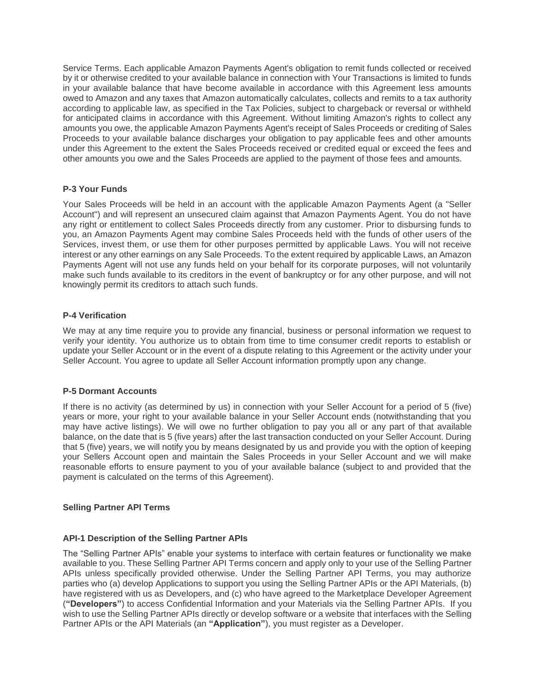Service Terms. Each applicable Amazon Payments Agent's obligation to remit funds collected or received by it or otherwise credited to your available balance in connection with Your Transactions is limited to funds in your available balance that have become available in accordance with this Agreement less amounts owed to Amazon and any taxes that Amazon automatically calculates, collects and remits to a tax authority according to applicable law, as specified in the Tax Policies, subject to chargeback or reversal or withheld for anticipated claims in accordance with this Agreement. Without limiting Amazon's rights to collect any amounts you owe, the applicable Amazon Payments Agent's receipt of Sales Proceeds or crediting of Sales Proceeds to your available balance discharges your obligation to pay applicable fees and other amounts under this Agreement to the extent the Sales Proceeds received or credited equal or exceed the fees and other amounts you owe and the Sales Proceeds are applied to the payment of those fees and amounts.

### **P-3 Your Funds**

Your Sales Proceeds will be held in an account with the applicable Amazon Payments Agent (a "Seller Account") and will represent an unsecured claim against that Amazon Payments Agent. You do not have any right or entitlement to collect Sales Proceeds directly from any customer. Prior to disbursing funds to you, an Amazon Payments Agent may combine Sales Proceeds held with the funds of other users of the Services, invest them, or use them for other purposes permitted by applicable Laws. You will not receive interest or any other earnings on any Sale Proceeds. To the extent required by applicable Laws, an Amazon Payments Agent will not use any funds held on your behalf for its corporate purposes, will not voluntarily make such funds available to its creditors in the event of bankruptcy or for any other purpose, and will not knowingly permit its creditors to attach such funds.

### **P-4 Verification**

We may at any time require you to provide any financial, business or personal information we request to verify your identity. You authorize us to obtain from time to time consumer credit reports to establish or update your Seller Account or in the event of a dispute relating to this Agreement or the activity under your Seller Account. You agree to update all Seller Account information promptly upon any change.

### **P-5 Dormant Accounts**

If there is no activity (as determined by us) in connection with your Seller Account for a period of 5 (five) years or more, your right to your available balance in your Seller Account ends (notwithstanding that you may have active listings). We will owe no further obligation to pay you all or any part of that available balance, on the date that is 5 (five years) after the last transaction conducted on your Seller Account. During that 5 (five) years, we will notify you by means designated by us and provide you with the option of keeping your Sellers Account open and maintain the Sales Proceeds in your Seller Account and we will make reasonable efforts to ensure payment to you of your available balance (subject to and provided that the payment is calculated on the terms of this Agreement).

### **Selling Partner API Terms**

### **API-1 Description of the Selling Partner APIs**

The "Selling Partner APIs" enable your systems to interface with certain features or functionality we make available to you. These Selling Partner API Terms concern and apply only to your use of the Selling Partner APIs unless specifically provided otherwise. Under the Selling Partner API Terms, you may authorize parties who (a) develop Applications to support you using the Selling Partner APIs or the API Materials, (b) have registered with us as Developers, and (c) who have agreed to the Marketplace Developer Agreement (**"Developers"**) to access Confidential Information and your Materials via the Selling Partner APIs. If you wish to use the Selling Partner APIs directly or develop software or a website that interfaces with the Selling Partner APIs or the API Materials (an **"Application"**), you must register as a Developer.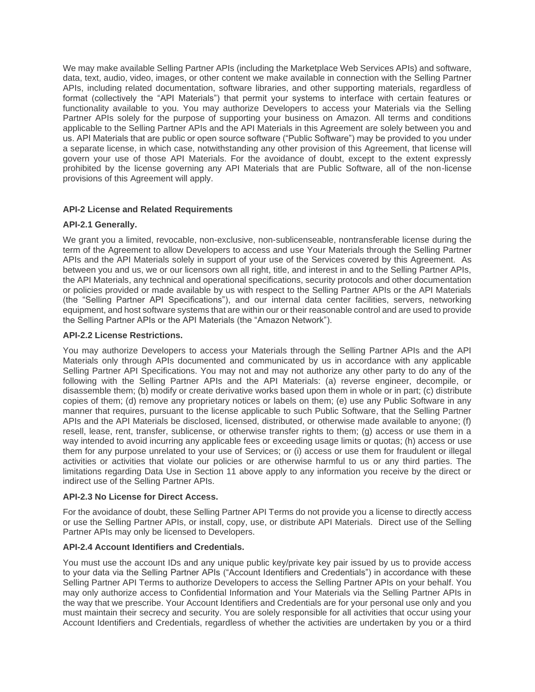We may make available Selling Partner APIs (including the Marketplace Web Services APIs) and software, data, text, audio, video, images, or other content we make available in connection with the Selling Partner APIs, including related documentation, software libraries, and other supporting materials, regardless of format (collectively the "API Materials") that permit your systems to interface with certain features or functionality available to you. You may authorize Developers to access your Materials via the Selling Partner APIs solely for the purpose of supporting your business on Amazon. All terms and conditions applicable to the Selling Partner APIs and the API Materials in this Agreement are solely between you and us. API Materials that are public or open source software ("Public Software") may be provided to you under a separate license, in which case, notwithstanding any other provision of this Agreement, that license will govern your use of those API Materials. For the avoidance of doubt, except to the extent expressly prohibited by the license governing any API Materials that are Public Software, all of the non-license provisions of this Agreement will apply.

# **API-2 License and Related Requirements**

# **API-2.1 Generally.**

We grant you a limited, revocable, non-exclusive, non-sublicenseable, nontransferable license during the term of the Agreement to allow Developers to access and use Your Materials through the Selling Partner APIs and the API Materials solely in support of your use of the Services covered by this Agreement. As between you and us, we or our licensors own all right, title, and interest in and to the Selling Partner APIs, the API Materials, any technical and operational specifications, security protocols and other documentation or policies provided or made available by us with respect to the Selling Partner APIs or the API Materials (the "Selling Partner API Specifications"), and our internal data center facilities, servers, networking equipment, and host software systems that are within our or their reasonable control and are used to provide the Selling Partner APIs or the API Materials (the "Amazon Network").

# **API-2.2 License Restrictions.**

You may authorize Developers to access your Materials through the Selling Partner APIs and the API Materials only through APIs documented and communicated by us in accordance with any applicable Selling Partner API Specifications. You may not and may not authorize any other party to do any of the following with the Selling Partner APIs and the API Materials: (a) reverse engineer, decompile, or disassemble them; (b) modify or create derivative works based upon them in whole or in part; (c) distribute copies of them; (d) remove any proprietary notices or labels on them; (e) use any Public Software in any manner that requires, pursuant to the license applicable to such Public Software, that the Selling Partner APIs and the API Materials be disclosed, licensed, distributed, or otherwise made available to anyone; (f) resell, lease, rent, transfer, sublicense, or otherwise transfer rights to them; (g) access or use them in a way intended to avoid incurring any applicable fees or exceeding usage limits or quotas; (h) access or use them for any purpose unrelated to your use of Services; or (i) access or use them for fraudulent or illegal activities or activities that violate our policies or are otherwise harmful to us or any third parties. The limitations regarding Data Use in Section 11 above apply to any information you receive by the direct or indirect use of the Selling Partner APIs.

# **API-2.3 No License for Direct Access.**

For the avoidance of doubt, these Selling Partner API Terms do not provide you a license to directly access or use the Selling Partner APIs, or install, copy, use, or distribute API Materials. Direct use of the Selling Partner APIs may only be licensed to Developers.

# **API-2.4 Account Identifiers and Credentials.**

You must use the account IDs and any unique public key/private key pair issued by us to provide access to your data via the Selling Partner APIs ("Account Identifiers and Credentials") in accordance with these Selling Partner API Terms to authorize Developers to access the Selling Partner APIs on your behalf. You may only authorize access to Confidential Information and Your Materials via the Selling Partner APIs in the way that we prescribe. Your Account Identifiers and Credentials are for your personal use only and you must maintain their secrecy and security. You are solely responsible for all activities that occur using your Account Identifiers and Credentials, regardless of whether the activities are undertaken by you or a third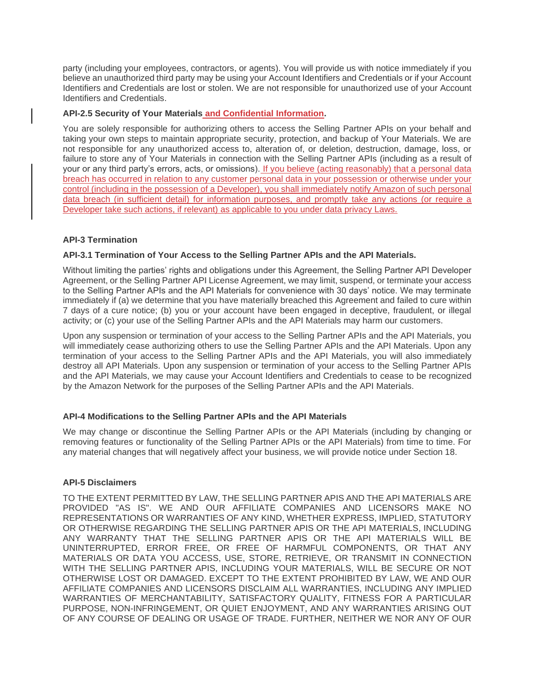party (including your employees, contractors, or agents). You will provide us with notice immediately if you believe an unauthorized third party may be using your Account Identifiers and Credentials or if your Account Identifiers and Credentials are lost or stolen. We are not responsible for unauthorized use of your Account Identifiers and Credentials.

## **API-2.5 Security of Your Materials and Confidential Information.**

You are solely responsible for authorizing others to access the Selling Partner APIs on your behalf and taking your own steps to maintain appropriate security, protection, and backup of Your Materials. We are not responsible for any unauthorized access to, alteration of, or deletion, destruction, damage, loss, or failure to store any of Your Materials in connection with the Selling Partner APIs (including as a result of your or any third party's errors, acts, or omissions). If you believe (acting reasonably) that a personal data breach has occurred in relation to any customer personal data in your possession or otherwise under your control (including in the possession of a Developer), you shall immediately notify Amazon of such personal data breach (in sufficient detail) for information purposes, and promptly take any actions (or require a Developer take such actions, if relevant) as applicable to you under data privacy Laws.

### **API-3 Termination**

### **API-3.1 Termination of Your Access to the Selling Partner APIs and the API Materials.**

Without limiting the parties' rights and obligations under this Agreement, the Selling Partner API Developer Agreement, or the Selling Partner API License Agreement, we may limit, suspend, or terminate your access to the Selling Partner APIs and the API Materials for convenience with 30 days' notice. We may terminate immediately if (a) we determine that you have materially breached this Agreement and failed to cure within 7 days of a cure notice; (b) you or your account have been engaged in deceptive, fraudulent, or illegal activity; or (c) your use of the Selling Partner APIs and the API Materials may harm our customers.

Upon any suspension or termination of your access to the Selling Partner APIs and the API Materials, you will immediately cease authorizing others to use the Selling Partner APIs and the API Materials. Upon any termination of your access to the Selling Partner APIs and the API Materials, you will also immediately destroy all API Materials. Upon any suspension or termination of your access to the Selling Partner APIs and the API Materials, we may cause your Account Identifiers and Credentials to cease to be recognized by the Amazon Network for the purposes of the Selling Partner APIs and the API Materials.

### **API-4 Modifications to the Selling Partner APIs and the API Materials**

We may change or discontinue the Selling Partner APIs or the API Materials (including by changing or removing features or functionality of the Selling Partner APIs or the API Materials) from time to time. For any material changes that will negatively affect your business, we will provide notice under Section 18.

### **API-5 Disclaimers**

TO THE EXTENT PERMITTED BY LAW, THE SELLING PARTNER APIS AND THE API MATERIALS ARE PROVIDED "AS IS". WE AND OUR AFFILIATE COMPANIES AND LICENSORS MAKE NO REPRESENTATIONS OR WARRANTIES OF ANY KIND, WHETHER EXPRESS, IMPLIED, STATUTORY OR OTHERWISE REGARDING THE SELLING PARTNER APIS OR THE API MATERIALS, INCLUDING ANY WARRANTY THAT THE SELLING PARTNER APIS OR THE API MATERIALS WILL BE UNINTERRUPTED, ERROR FREE, OR FREE OF HARMFUL COMPONENTS, OR THAT ANY MATERIALS OR DATA YOU ACCESS, USE, STORE, RETRIEVE, OR TRANSMIT IN CONNECTION WITH THE SELLING PARTNER APIS, INCLUDING YOUR MATERIALS, WILL BE SECURE OR NOT OTHERWISE LOST OR DAMAGED. EXCEPT TO THE EXTENT PROHIBITED BY LAW, WE AND OUR AFFILIATE COMPANIES AND LICENSORS DISCLAIM ALL WARRANTIES, INCLUDING ANY IMPLIED WARRANTIES OF MERCHANTABILITY, SATISFACTORY QUALITY, FITNESS FOR A PARTICULAR PURPOSE, NON-INFRINGEMENT, OR QUIET ENJOYMENT, AND ANY WARRANTIES ARISING OUT OF ANY COURSE OF DEALING OR USAGE OF TRADE. FURTHER, NEITHER WE NOR ANY OF OUR